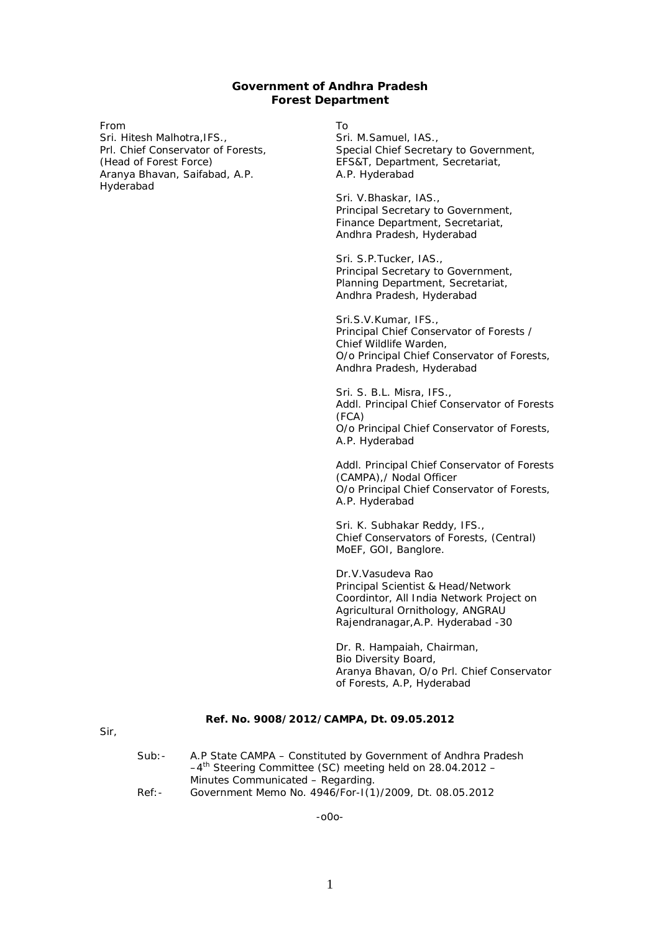#### **Government of Andhra Pradesh Forest Department**

From Sri. Hitesh Malhotra,IFS., Prl. Chief Conservator of Forests, (Head of Forest Force) Aranya Bhavan, Saifabad, A.P. Hyderabad

To

Sri. M.Samuel, IAS., Special Chief Secretary to Government, EFS&T, Department, Secretariat, A.P. Hyderabad

Sri. V.Bhaskar, IAS., Principal Secretary to Government, Finance Department, Secretariat, Andhra Pradesh, Hyderabad

Sri. S.P.Tucker, IAS., Principal Secretary to Government, Planning Department, Secretariat, Andhra Pradesh, Hyderabad

Sri.S.V.Kumar, IFS., Principal Chief Conservator of Forests / Chief Wildlife Warden, O/o Principal Chief Conservator of Forests, Andhra Pradesh, Hyderabad

Sri. S. B.L. Misra, IFS., Addl. Principal Chief Conservator of Forests (FCA) O/o Principal Chief Conservator of Forests, A.P. Hyderabad

Addl. Principal Chief Conservator of Forests (CAMPA),/ Nodal Officer O/o Principal Chief Conservator of Forests, A.P. Hyderabad

Sri. K. Subhakar Reddy, IFS., Chief Conservators of Forests, (Central) MoEF, GOI, Banglore.

Dr.V.Vasudeva Rao Principal Scientist & Head/Network Coordintor, All India Network Project on Agricultural Ornithology, ANGRAU Rajendranagar,A.P. Hyderabad -30

Dr. R. Hampaiah, Chairman, Bio Diversity Board, Aranya Bhavan, O/o Prl. Chief Conservator of Forests, A.P, Hyderabad

#### **Ref. No. 9008/2012/CAMPA, Dt. 09.05.2012**

Sir,

| $Sub:$ - | A.P State CAMPA – Constituted by Government of Andhra Pradesh           |
|----------|-------------------------------------------------------------------------|
|          | $-4$ <sup>th</sup> Steering Committee (SC) meeting held on 28.04.2012 - |
|          | Minutes Communicated - Regarding.                                       |
| $Ref: -$ | Government Memo No. 4946/For-1(1)/2009, Dt. 08.05.2012                  |

-o0o-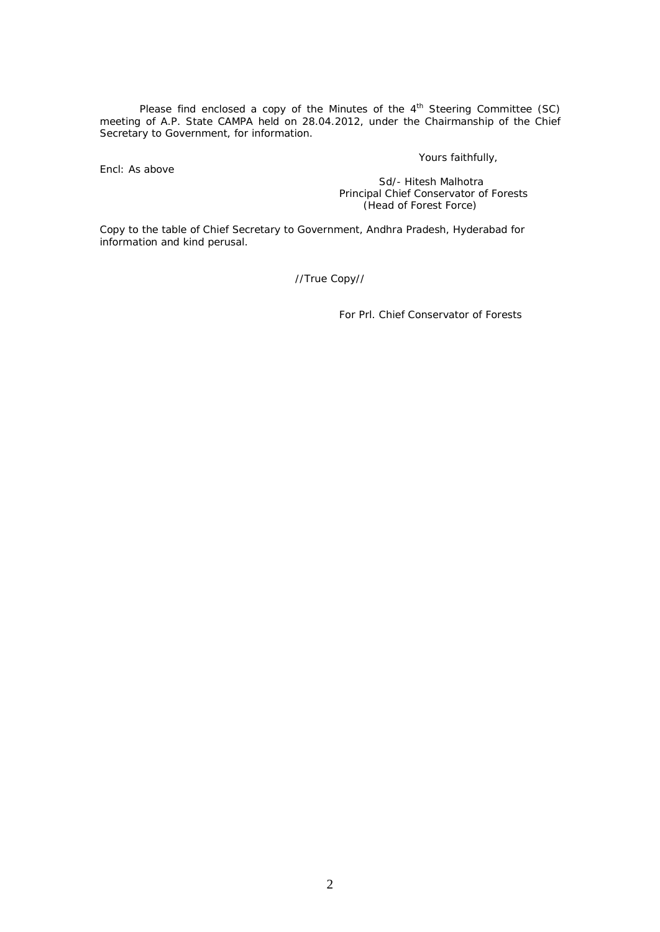Please find enclosed a copy of the Minutes of the  $4<sup>th</sup>$  Steering Committee (SC) meeting of A.P. State CAMPA held on 28.04.2012, under the Chairmanship of the Chief Secretary to Government, for information.

Encl: As above

Yours faithfully,

*Sd/- Hitesh Malhotra* Principal Chief Conservator of Forests (Head of Forest Force)

Copy to the table of Chief Secretary to Government, Andhra Pradesh, Hyderabad for information and kind perusal.

//True Copy//

For Prl. Chief Conservator of Forests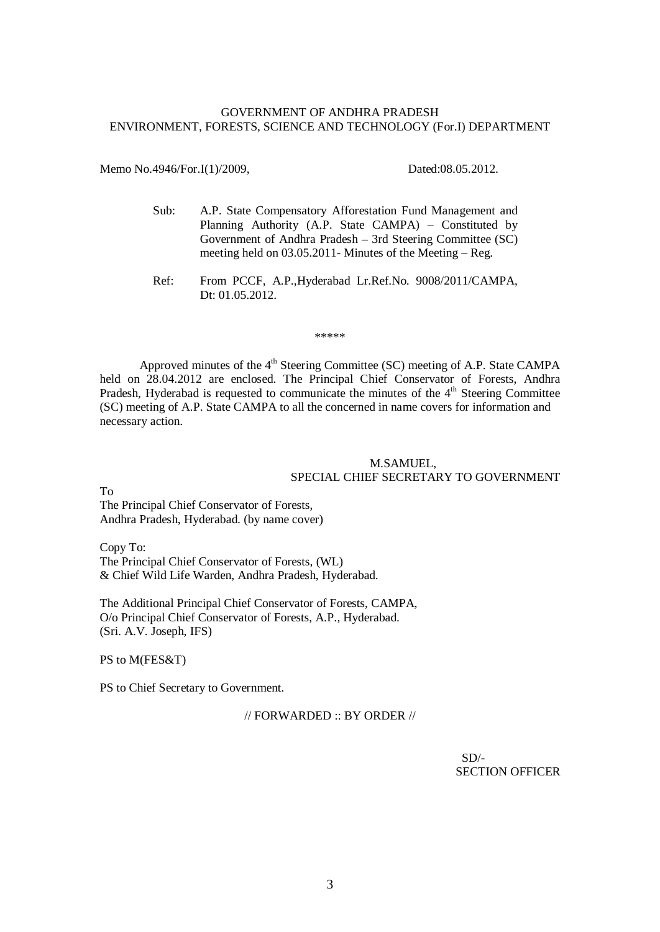#### GOVERNMENT OF ANDHRA PRADESH ENVIRONMENT, FORESTS, SCIENCE AND TECHNOLOGY (For.I) DEPARTMENT

Memo No.4946/For.I(1)/2009, Dated:08.05.2012.

- Sub: A.P. State Compensatory Afforestation Fund Management and Planning Authority (A.P. State CAMPA) – Constituted by Government of Andhra Pradesh – 3rd Steering Committee (SC) meeting held on 03.05.2011- Minutes of the Meeting – Reg.
- Ref: From PCCF, A.P.,Hyderabad Lr.Ref.No. 9008/2011/CAMPA, Dt: 01.05.2012.

\*\*\*\*\*

Approved minutes of the  $4<sup>th</sup>$  Steering Committee (SC) meeting of A.P. State CAMPA held on 28.04.2012 are enclosed. The Principal Chief Conservator of Forests, Andhra Pradesh, Hyderabad is requested to communicate the minutes of the 4<sup>th</sup> Steering Committee (SC) meeting of A.P. State CAMPA to all the concerned in name covers for information and necessary action.

#### M.SAMUEL, SPECIAL CHIEF SECRETARY TO GOVERNMENT

To

The Principal Chief Conservator of Forests, Andhra Pradesh, Hyderabad. (by name cover)

Copy To: The Principal Chief Conservator of Forests, (WL) & Chief Wild Life Warden, Andhra Pradesh, Hyderabad.

The Additional Principal Chief Conservator of Forests, CAMPA, O/o Principal Chief Conservator of Forests, A.P., Hyderabad. (Sri. A.V. Joseph, IFS)

PS to M(FES&T)

PS to Chief Secretary to Government.

 $\frac{1}{2}$  FORWARDED  $\cdot \cdot$  BY ORDER  $\frac{1}{2}$ 

 $SD/-$ SECTION OFFICER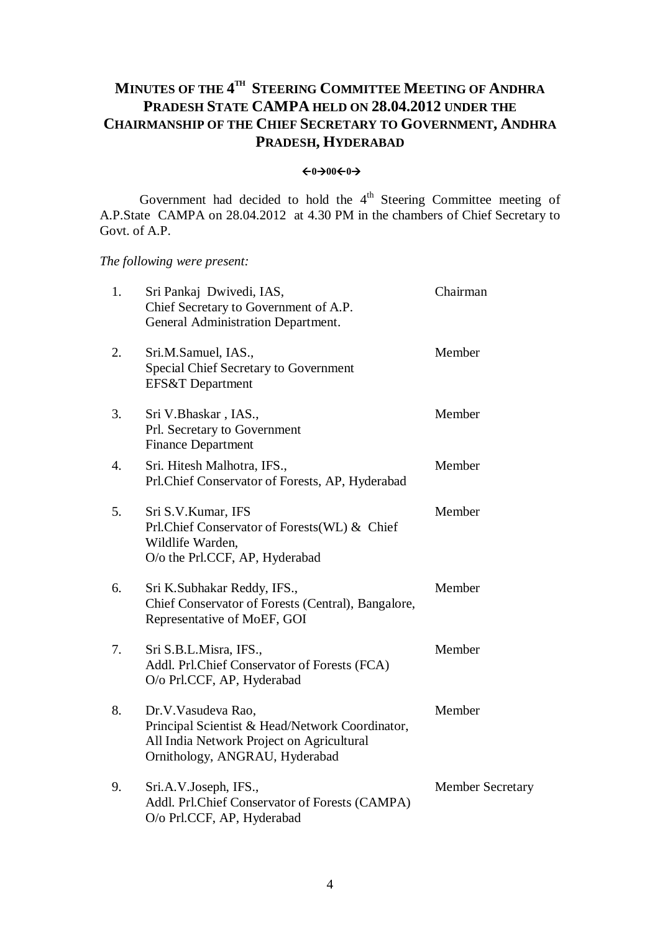## **MINUTES OF THE 4 TH STEERING COMMITTEE MEETING OF ANDHRA PRADESH STATE CAMPA HELD ON 28.04.2012 UNDER THE CHAIRMANSHIP OF THE CHIEF SECRETARY TO GOVERNMENT, ANDHRA PRADESH, HYDERABAD**

#### $\leftarrow 0 \rightarrow 00 \leftarrow 0 \rightarrow 0$

Government had decided to hold the  $4<sup>th</sup>$  Steering Committee meeting of A.P.State CAMPA on 28.04.2012 at 4.30 PM in the chambers of Chief Secretary to Govt. of A.P.

*The following were present:*

| 1. | Sri Pankaj Dwivedi, IAS,<br>Chief Secretary to Government of A.P.<br>General Administration Department.                                              | Chairman                |
|----|------------------------------------------------------------------------------------------------------------------------------------------------------|-------------------------|
| 2. | Sri.M.Samuel, IAS.,<br>Special Chief Secretary to Government<br>EFS&T Department                                                                     | Member                  |
| 3. | Sri V.Bhaskar, IAS.,<br>Prl. Secretary to Government<br><b>Finance Department</b>                                                                    | Member                  |
| 4. | Sri. Hitesh Malhotra, IFS.,<br>Prl.Chief Conservator of Forests, AP, Hyderabad                                                                       | Member                  |
| 5. | Sri S.V.Kumar, IFS<br>Prl.Chief Conservator of Forests (WL) & Chief<br>Wildlife Warden,<br>O/o the Prl.CCF, AP, Hyderabad                            | Member                  |
| 6. | Sri K.Subhakar Reddy, IFS.,<br>Chief Conservator of Forests (Central), Bangalore,<br>Representative of MoEF, GOI                                     | Member                  |
| 7. | Sri S.B.L.Misra, IFS.,<br>Addl. Prl.Chief Conservator of Forests (FCA)<br>O/o Prl.CCF, AP, Hyderabad                                                 | Member                  |
| 8. | Dr.V.Vasudeva Rao,<br>Principal Scientist & Head/Network Coordinator,<br>All India Network Project on Agricultural<br>Ornithology, ANGRAU, Hyderabad | Member                  |
| 9. | Sri.A.V.Joseph, IFS.,<br>Addl. Prl.Chief Conservator of Forests (CAMPA)<br>O/o Prl.CCF, AP, Hyderabad                                                | <b>Member Secretary</b> |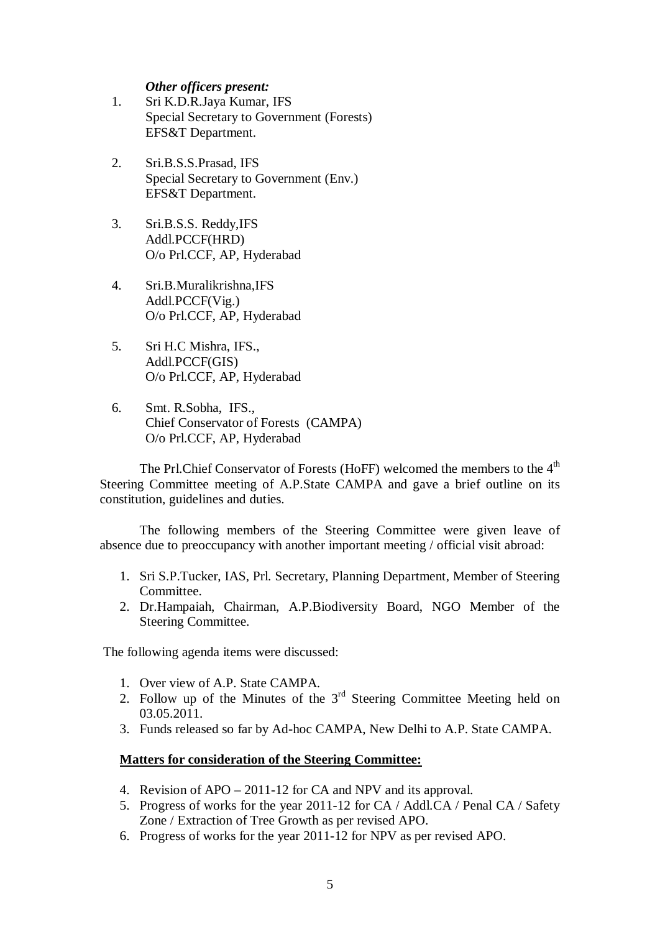#### *Other officers present:*

- 1. Sri K.D.R.Jaya Kumar, IFS Special Secretary to Government (Forests) EFS&T Department.
- 2. Sri.B.S.S.Prasad, IFS Special Secretary to Government (Env.) EFS&T Department.
- 3. Sri.B.S.S. Reddy,IFS Addl.PCCF(HRD) O/o Prl.CCF, AP, Hyderabad
- 4. Sri.B.Muralikrishna,IFS Addl.PCCF(Vig.) O/o Prl.CCF, AP, Hyderabad
- 5. Sri H.C Mishra, IFS., Addl.PCCF(GIS) O/o Prl.CCF, AP, Hyderabad
- 6. Smt. R.Sobha, IFS., Chief Conservator of Forests (CAMPA) O/o Prl.CCF, AP, Hyderabad

The Prl.Chief Conservator of Forests (HoFF) welcomed the members to the  $4<sup>th</sup>$ Steering Committee meeting of A.P.State CAMPA and gave a brief outline on its constitution, guidelines and duties.

The following members of the Steering Committee were given leave of absence due to preoccupancy with another important meeting / official visit abroad:

- 1. Sri S.P.Tucker, IAS, Prl. Secretary, Planning Department, Member of Steering Committee.
- 2. Dr.Hampaiah, Chairman, A.P.Biodiversity Board, NGO Member of the Steering Committee.

The following agenda items were discussed:

- 1. Over view of A.P. State CAMPA.
- 2. Follow up of the Minutes of the  $3<sup>rd</sup>$  Steering Committee Meeting held on 03.05.2011.
- 3. Funds released so far by Ad-hoc CAMPA, New Delhi to A.P. State CAMPA.

#### **Matters for consideration of the Steering Committee:**

- 4. Revision of APO 2011-12 for CA and NPV and its approval.
- 5. Progress of works for the year 2011-12 for CA / Addl.CA / Penal CA / Safety Zone / Extraction of Tree Growth as per revised APO.
- 6. Progress of works for the year 2011-12 for NPV as per revised APO.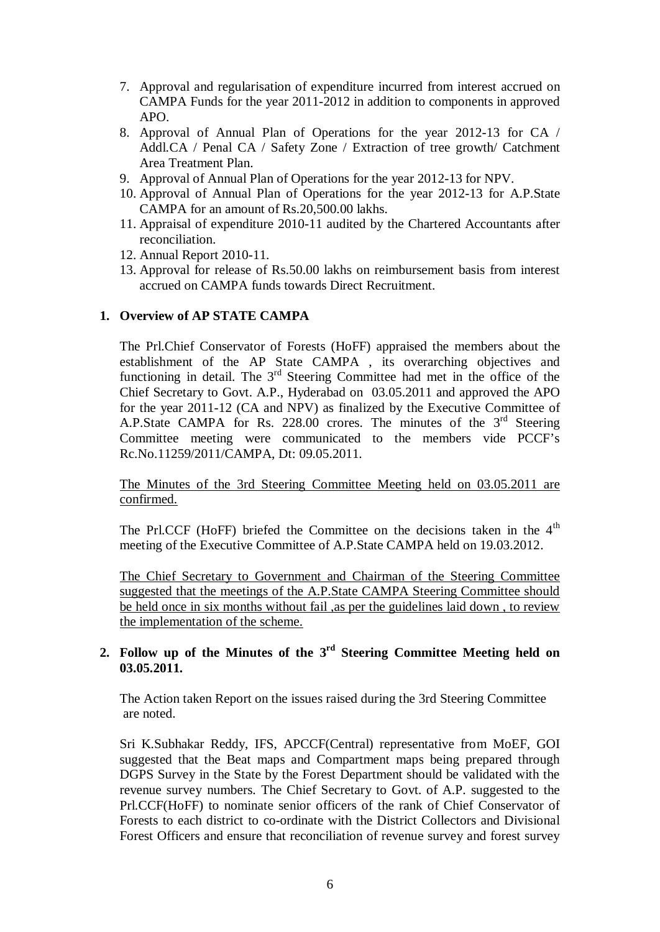- 7. Approval and regularisation of expenditure incurred from interest accrued on CAMPA Funds for the year 2011-2012 in addition to components in approved APO.
- 8. Approval of Annual Plan of Operations for the year 2012-13 for CA / Addl.CA / Penal CA / Safety Zone / Extraction of tree growth/ Catchment Area Treatment Plan.
- 9. Approval of Annual Plan of Operations for the year 2012-13 for NPV.
- 10. Approval of Annual Plan of Operations for the year 2012-13 for A.P.State CAMPA for an amount of Rs.20,500.00 lakhs.
- 11. Appraisal of expenditure 2010-11 audited by the Chartered Accountants after reconciliation.
- 12. Annual Report 2010-11.
- 13. Approval for release of Rs.50.00 lakhs on reimbursement basis from interest accrued on CAMPA funds towards Direct Recruitment.

#### **1. Overview of AP STATE CAMPA**

The Prl.Chief Conservator of Forests (HoFF) appraised the members about the establishment of the AP State CAMPA , its overarching objectives and functioning in detail. The  $3<sup>rd</sup>$  Steering Committee had met in the office of the Chief Secretary to Govt. A.P., Hyderabad on 03.05.2011 and approved the APO for the year 2011-12 (CA and NPV) as finalized by the Executive Committee of A.P.State CAMPA for Rs. 228.00 crores. The minutes of the  $3<sup>rd</sup>$  Steering Committee meeting were communicated to the members vide PCCF's Rc.No.11259/2011/CAMPA, Dt: 09.05.2011.

The Minutes of the 3rd Steering Committee Meeting held on 03.05.2011 are confirmed.

The Prl.CCF (HoFF) briefed the Committee on the decisions taken in the  $4<sup>th</sup>$ meeting of the Executive Committee of A.P.State CAMPA held on 19.03.2012.

The Chief Secretary to Government and Chairman of the Steering Committee suggested that the meetings of the A.P.State CAMPA Steering Committee should be held once in six months without fail, as per the guidelines laid down, to review the implementation of the scheme.

#### **2. Follow up of the Minutes of the 3 rd Steering Committee Meeting held on 03.05.2011.**

The Action taken Report on the issues raised during the 3rd Steering Committee are noted.

Sri K.Subhakar Reddy, IFS, APCCF(Central) representative from MoEF, GOI suggested that the Beat maps and Compartment maps being prepared through DGPS Survey in the State by the Forest Department should be validated with the revenue survey numbers. The Chief Secretary to Govt. of A.P. suggested to the Prl.CCF(HoFF) to nominate senior officers of the rank of Chief Conservator of Forests to each district to co-ordinate with the District Collectors and Divisional Forest Officers and ensure that reconciliation of revenue survey and forest survey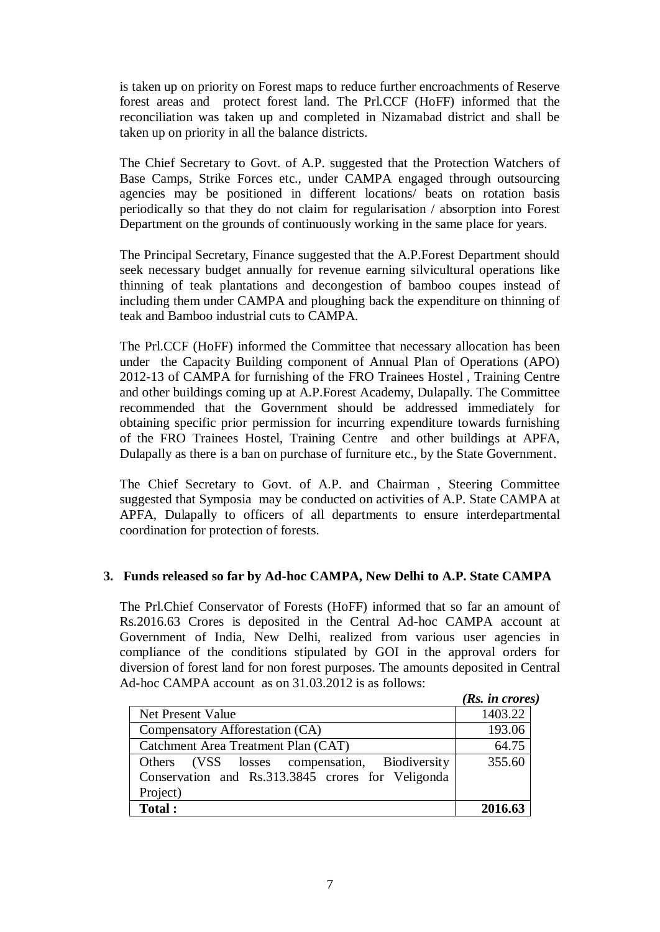is taken up on priority on Forest maps to reduce further encroachments of Reserve forest areas and protect forest land. The Prl.CCF (HoFF) informed that the reconciliation was taken up and completed in Nizamabad district and shall be taken up on priority in all the balance districts.

The Chief Secretary to Govt. of A.P. suggested that the Protection Watchers of Base Camps, Strike Forces etc., under CAMPA engaged through outsourcing agencies may be positioned in different locations/ beats on rotation basis periodically so that they do not claim for regularisation / absorption into Forest Department on the grounds of continuously working in the same place for years.

The Principal Secretary, Finance suggested that the A.P.Forest Department should seek necessary budget annually for revenue earning silvicultural operations like thinning of teak plantations and decongestion of bamboo coupes instead of including them under CAMPA and ploughing back the expenditure on thinning of teak and Bamboo industrial cuts to CAMPA.

The Prl.CCF (HoFF) informed the Committee that necessary allocation has been under the Capacity Building component of Annual Plan of Operations (APO) 2012-13 of CAMPA for furnishing of the FRO Trainees Hostel , Training Centre and other buildings coming up at A.P.Forest Academy, Dulapally. The Committee recommended that the Government should be addressed immediately for obtaining specific prior permission for incurring expenditure towards furnishing of the FRO Trainees Hostel, Training Centre and other buildings at APFA, Dulapally as there is a ban on purchase of furniture etc., by the State Government.

The Chief Secretary to Govt. of A.P. and Chairman , Steering Committee suggested that Symposia may be conducted on activities of A.P. State CAMPA at APFA, Dulapally to officers of all departments to ensure interdepartmental coordination for protection of forests.

### **3. Funds released so far by Ad-hoc CAMPA, New Delhi to A.P. State CAMPA**

The Prl.Chief Conservator of Forests (HoFF) informed that so far an amount of Rs.2016.63 Crores is deposited in the Central Ad-hoc CAMPA account at Government of India, New Delhi, realized from various user agencies in compliance of the conditions stipulated by GOI in the approval orders for diversion of forest land for non forest purposes. The amounts deposited in Central Ad-hoc CAMPA account as on 31.03.2012 is as follows:

|                                                   | (Rs. in crores) |
|---------------------------------------------------|-----------------|
| Net Present Value                                 | 1403.22         |
| Compensatory Afforestation (CA)                   | 193.06          |
| Catchment Area Treatment Plan (CAT)               | 64.75           |
| Others (VSS losses compensation, Biodiversity     | 355.60          |
| Conservation and Rs.313.3845 crores for Veligonda |                 |
| Project)                                          |                 |
| Total:                                            | 2016.63         |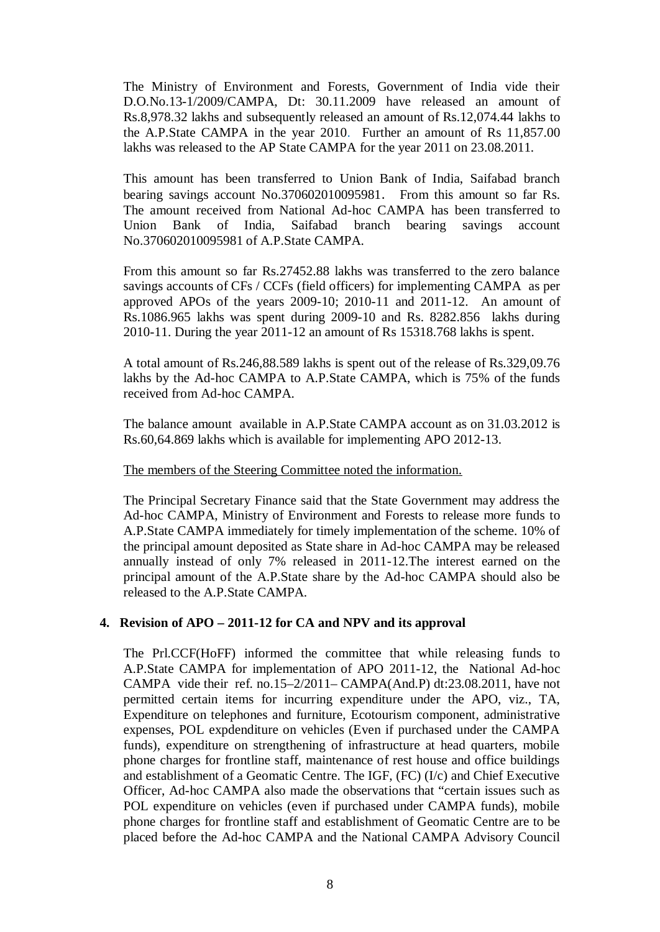The Ministry of Environment and Forests, Government of India vide their D.O.No.13-1/2009/CAMPA, Dt: 30.11.2009 have released an amount of Rs.8,978.32 lakhs and subsequently released an amount of Rs.12,074.44 lakhs to the A.P.State CAMPA in the year 2010. Further an amount of Rs 11,857.00 lakhs was released to the AP State CAMPA for the year 2011 on 23.08.2011.

This amount has been transferred to Union Bank of India, Saifabad branch bearing savings account No.370602010095981. From this amount so far Rs. The amount received from National Ad-hoc CAMPA has been transferred to Union Bank of India, Saifabad branch bearing savings account No.370602010095981 of A.P.State CAMPA.

From this amount so far Rs.27452.88 lakhs was transferred to the zero balance savings accounts of CFs / CCFs (field officers) for implementing CAMPA as per approved APOs of the years 2009-10; 2010-11 and 2011-12. An amount of Rs.1086.965 lakhs was spent during 2009-10 and Rs. 8282.856 lakhs during 2010-11. During the year 2011-12 an amount of Rs 15318.768 lakhs is spent.

A total amount of Rs.246,88.589 lakhs is spent out of the release of Rs.329,09.76 lakhs by the Ad-hoc CAMPA to A.P.State CAMPA, which is 75% of the funds received from Ad-hoc CAMPA.

The balance amount available in A.P.State CAMPA account as on 31.03.2012 is Rs.60,64.869 lakhs which is available for implementing APO 2012-13.

The members of the Steering Committee noted the information.

The Principal Secretary Finance said that the State Government may address the Ad-hoc CAMPA, Ministry of Environment and Forests to release more funds to A.P.State CAMPA immediately for timely implementation of the scheme. 10% of the principal amount deposited as State share in Ad-hoc CAMPA may be released annually instead of only 7% released in 2011-12.The interest earned on the principal amount of the A.P.State share by the Ad-hoc CAMPA should also be released to the A.P.State CAMPA.

#### **4. Revision of APO – 2011-12 for CA and NPV and its approval**

The Prl.CCF(HoFF) informed the committee that while releasing funds to A.P.State CAMPA for implementation of APO 2011-12, the National Ad-hoc CAMPA vide their ref. no.15–2/2011– CAMPA(And.P) dt:23.08.2011, have not permitted certain items for incurring expenditure under the APO, viz., TA, Expenditure on telephones and furniture, Ecotourism component, administrative expenses, POL expdenditure on vehicles (Even if purchased under the CAMPA funds), expenditure on strengthening of infrastructure at head quarters, mobile phone charges for frontline staff, maintenance of rest house and office buildings and establishment of a Geomatic Centre. The IGF, (FC) (I/c) and Chief Executive Officer, Ad-hoc CAMPA also made the observations that "certain issues such as POL expenditure on vehicles (even if purchased under CAMPA funds), mobile phone charges for frontline staff and establishment of Geomatic Centre are to be placed before the Ad-hoc CAMPA and the National CAMPA Advisory Council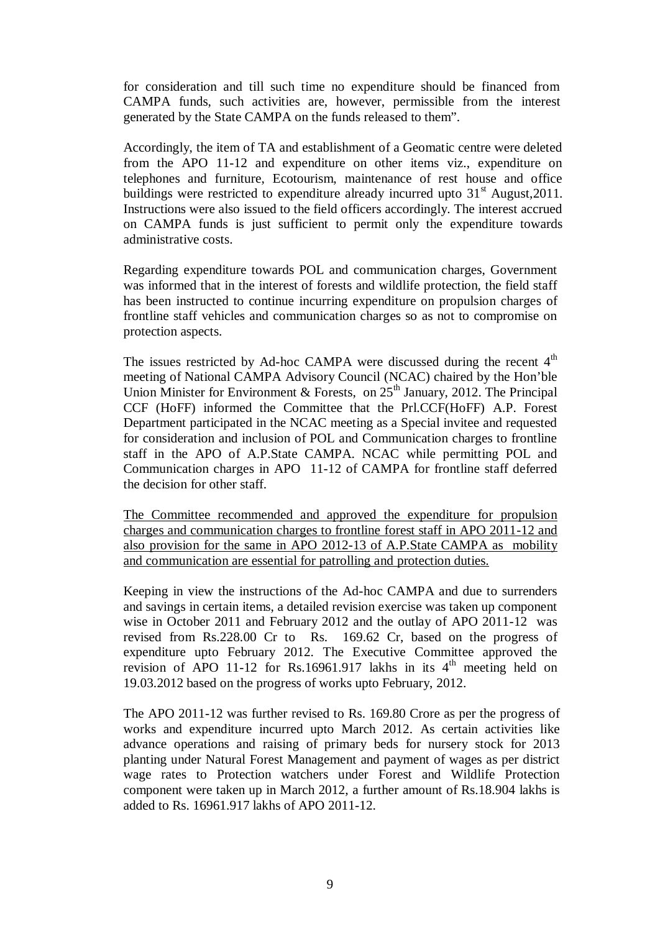for consideration and till such time no expenditure should be financed from CAMPA funds, such activities are, however, permissible from the interest generated by the State CAMPA on the funds released to them".

Accordingly, the item of TA and establishment of a Geomatic centre were deleted from the APO 11-12 and expenditure on other items viz., expenditure on telephones and furniture, Ecotourism, maintenance of rest house and office buildings were restricted to expenditure already incurred upto  $31<sup>st</sup>$  August, 2011. Instructions were also issued to the field officers accordingly. The interest accrued on CAMPA funds is just sufficient to permit only the expenditure towards administrative costs.

Regarding expenditure towards POL and communication charges, Government was informed that in the interest of forests and wildlife protection, the field staff has been instructed to continue incurring expenditure on propulsion charges of frontline staff vehicles and communication charges so as not to compromise on protection aspects.

The issues restricted by Ad-hoc CAMPA were discussed during the recent  $4<sup>th</sup>$ meeting of National CAMPA Advisory Council (NCAC) chaired by the Hon'ble Union Minister for Environment & Forests, on  $25<sup>th</sup>$  January, 2012. The Principal CCF (HoFF) informed the Committee that the Prl.CCF(HoFF) A.P. Forest Department participated in the NCAC meeting as a Special invitee and requested for consideration and inclusion of POL and Communication charges to frontline staff in the APO of A.P.State CAMPA. NCAC while permitting POL and Communication charges in APO 11-12 of CAMPA for frontline staff deferred the decision for other staff.

The Committee recommended and approved the expenditure for propulsion charges and communication charges to frontline forest staff in APO 2011-12 and also provision for the same in APO 2012-13 of A.P.State CAMPA as mobility and communication are essential for patrolling and protection duties.

Keeping in view the instructions of the Ad-hoc CAMPA and due to surrenders and savings in certain items, a detailed revision exercise was taken up component wise in October 2011 and February 2012 and the outlay of APO 2011-12 was revised from Rs.228.00 Cr to Rs. 169.62 Cr, based on the progress of expenditure upto February 2012. The Executive Committee approved the revision of APO 11-12 for Rs.16961.917 lakhs in its  $4<sup>th</sup>$  meeting held on 19.03.2012 based on the progress of works upto February, 2012.

The APO 2011-12 was further revised to Rs. 169.80 Crore as per the progress of works and expenditure incurred upto March 2012. As certain activities like advance operations and raising of primary beds for nursery stock for 2013 planting under Natural Forest Management and payment of wages as per district wage rates to Protection watchers under Forest and Wildlife Protection component were taken up in March 2012, a further amount of Rs.18.904 lakhs is added to Rs. 16961.917 lakhs of APO 2011-12.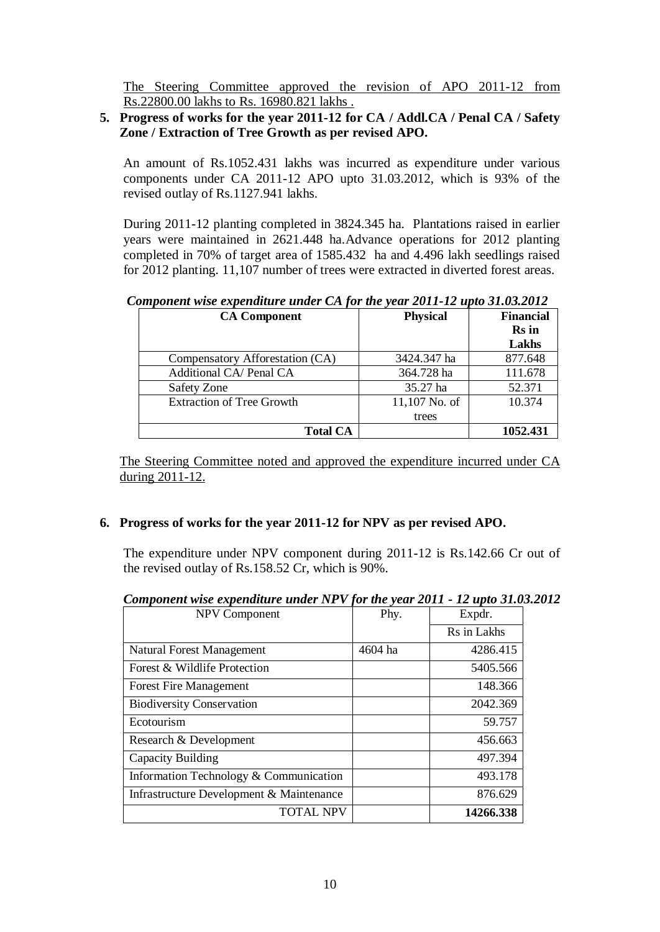The Steering Committee approved the revision of APO 2011-12 from Rs.22800.00 lakhs to Rs. 16980.821 lakhs .

#### **5. Progress of works for the year 2011-12 for CA / Addl.CA / Penal CA / Safety Zone / Extraction of Tree Growth as per revised APO.**

An amount of Rs.1052.431 lakhs was incurred as expenditure under various components under CA 2011-12 APO upto 31.03.2012, which is 93% of the revised outlay of Rs.1127.941 lakhs.

During 2011-12 planting completed in 3824.345 ha. Plantations raised in earlier years were maintained in 2621.448 ha.Advance operations for 2012 planting completed in 70% of target area of 1585.432 ha and 4.496 lakh seedlings raised for 2012 planting. 11,107 number of trees were extracted in diverted forest areas.

*Component wise expenditure under CA for the year 2011-12 upto 31.03.2012*

| <b>CA Component</b>              | <b>Physical</b> | <b>Financial</b><br><b>Rs</b> in<br>Lakhs |
|----------------------------------|-----------------|-------------------------------------------|
| Compensatory Afforestation (CA)  | 3424.347 ha     | 877.648                                   |
| Additional CA/ Penal CA          | 364.728 ha      | 111.678                                   |
| Safety Zone                      | 35.27 ha        | 52.371                                    |
| <b>Extraction of Tree Growth</b> | 11,107 No. of   | 10.374                                    |
|                                  | trees           |                                           |
| <b>Total CA</b>                  |                 | 1052.431                                  |

The Steering Committee noted and approved the expenditure incurred under CA during 2011-12.

### **6. Progress of works for the year 2011-12 for NPV as per revised APO.**

The expenditure under NPV component during 2011-12 is Rs.142.66 Cr out of the revised outlay of Rs.158.52 Cr, which is 90%.

| Component wise expenditure under NPV for the year 2011 - 12 upto 31.03.201 |         |             |
|----------------------------------------------------------------------------|---------|-------------|
| <b>NPV Component</b>                                                       | Phy.    | Expdr.      |
|                                                                            |         | Rs in Lakhs |
| <b>Natural Forest Management</b>                                           | 4604 ha | 4286.415    |
| Forest & Wildlife Protection                                               |         | 5405.566    |
| <b>Forest Fire Management</b>                                              |         | 148.366     |
| <b>Biodiversity Conservation</b>                                           |         | 2042.369    |
| Ecotourism                                                                 |         | 59.757      |
| Research & Development                                                     |         | 456.663     |
| Capacity Building                                                          |         | 497.394     |
| Information Technology & Communication                                     |         | 493.178     |
| Infrastructure Development & Maintenance                                   |         | 876.629     |
| <b>TOTAL NPV</b>                                                           |         | 14266.338   |

*Component wise expenditure under NPV for the year 2011 - 12 upto 31.03.2012*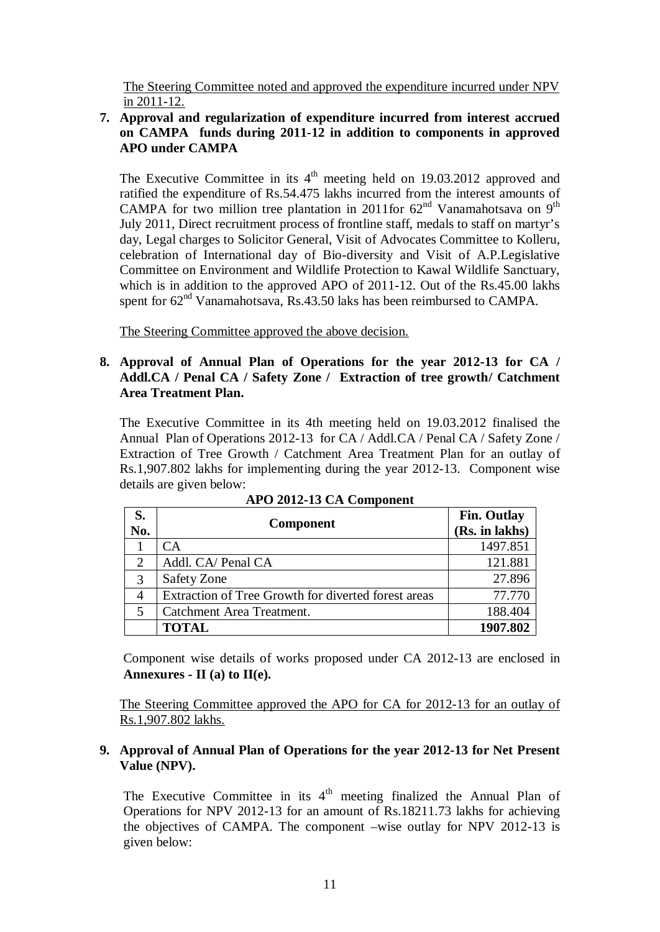The Steering Committee noted and approved the expenditure incurred under NPV in 2011-12.

### **7. Approval and regularization of expenditure incurred from interest accrued on CAMPA funds during 2011-12 in addition to components in approved APO under CAMPA**

The Executive Committee in its  $4<sup>th</sup>$  meeting held on 19.03.2012 approved and ratified the expenditure of Rs.54.475 lakhs incurred from the interest amounts of CAMPA for two million tree plantation in 2011for  $62<sup>nd</sup>$  Vanamahotsava on 9<sup>th</sup> July 2011, Direct recruitment process of frontline staff, medals to staff on martyr's day, Legal charges to Solicitor General, Visit of Advocates Committee to Kolleru, celebration of International day of Bio-diversity and Visit of A.P.Legislative Committee on Environment and Wildlife Protection to Kawal Wildlife Sanctuary, which is in addition to the approved APO of 2011-12. Out of the Rs.45.00 lakhs spent for  $62<sup>nd</sup>$  Vanamahotsava, Rs.43.50 laks has been reimbursed to CAMPA.

The Steering Committee approved the above decision.

#### **8. Approval of Annual Plan of Operations for the year 2012-13 for CA / Addl.CA / Penal CA / Safety Zone / Extraction of tree growth/ Catchment Area Treatment Plan.**

The Executive Committee in its 4th meeting held on 19.03.2012 finalised the Annual Plan of Operations 2012-13 for CA / Addl.CA / Penal CA / Safety Zone / Extraction of Tree Growth / Catchment Area Treatment Plan for an outlay of Rs.1,907.802 lakhs for implementing during the year 2012-13. Component wise details are given below:

| S.<br>No.      | <b>Component</b>                                    | <b>Fin. Outlay</b><br>(Rs. in lakhs) |
|----------------|-----------------------------------------------------|--------------------------------------|
|                | CA                                                  | 1497.851                             |
| $\overline{2}$ | Addl. CA/ Penal CA                                  | 121.881                              |
| 3              | Safety Zone                                         | 27.896                               |
| 4              | Extraction of Tree Growth for diverted forest areas | 77.770                               |
| 5              | Catchment Area Treatment.                           | 188.404                              |
|                | <b>TOTAL</b>                                        | 1907.802                             |

**APO 2012-13 CA Component**

Component wise details of works proposed under CA 2012-13 are enclosed in **Annexures - II (a) to II(e).**

The Steering Committee approved the APO for CA for 2012-13 for an outlay of Rs.1,907.802 lakhs.

### **9. Approval of Annual Plan of Operations for the year 2012-13 for Net Present Value (NPV).**

The Executive Committee in its  $4<sup>th</sup>$  meeting finalized the Annual Plan of Operations for NPV 2012-13 for an amount of Rs.18211.73 lakhs for achieving the objectives of CAMPA. The component –wise outlay for NPV 2012-13 is given below: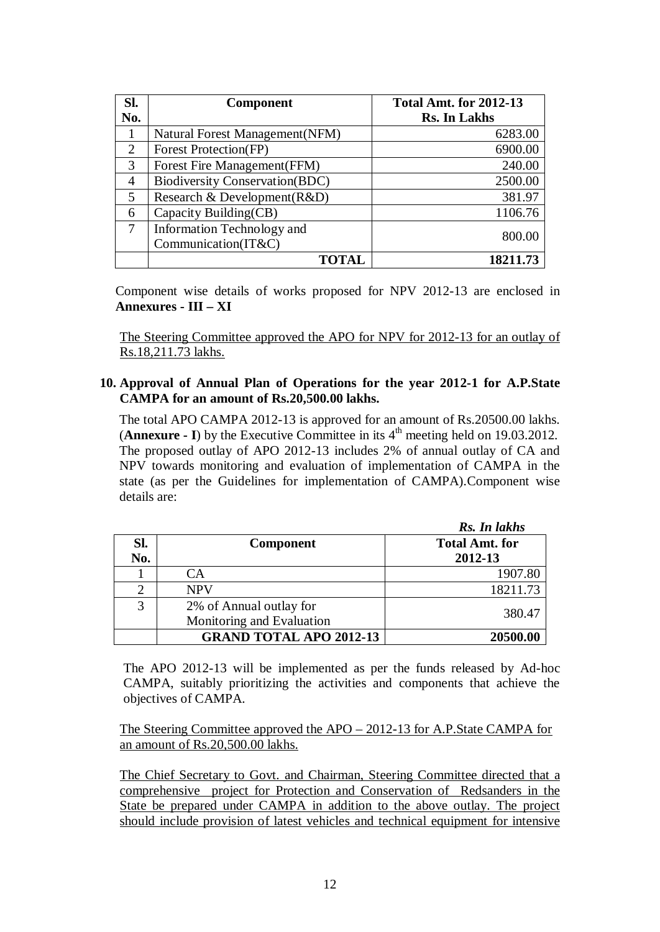| Sl.            | <b>Component</b>                      | <b>Total Amt. for 2012-13</b> |
|----------------|---------------------------------------|-------------------------------|
| No.            |                                       | <b>Rs. In Lakhs</b>           |
|                | Natural Forest Management (NFM)       | 6283.00                       |
| 2              | Forest Protection(FP)                 | 6900.00                       |
| 3              | Forest Fire Management (FFM)          | 240.00                        |
| $\overline{4}$ | <b>Biodiversity Conservation(BDC)</b> | 2500.00                       |
| 5              | Research & Development (R&D)          | 381.97                        |
| 6              | Capacity Building(CB)                 | 1106.76                       |
| 7              | Information Technology and            | 800.00                        |
|                | Communication(IT&C)                   |                               |
|                | <b>TOTAL</b>                          | 18211.73                      |

Component wise details of works proposed for NPV 2012-13 are enclosed in **Annexures - III – XI**

The Steering Committee approved the APO for NPV for 2012-13 for an outlay of Rs.18,211.73 lakhs.

#### **10. Approval of Annual Plan of Operations for the year 2012-1 for A.P.State CAMPA for an amount of Rs.20,500.00 lakhs.**

The total APO CAMPA 2012-13 is approved for an amount of Rs.20500.00 lakhs. (**Annexure - I**) by the Executive Committee in its  $4<sup>th</sup>$  meeting held on 19.03.2012. The proposed outlay of APO 2012-13 includes 2% of annual outlay of CA and NPV towards monitoring and evaluation of implementation of CAMPA in the state (as per the Guidelines for implementation of CAMPA).Component wise details are:

|     |                                | Rs. In lakhs          |
|-----|--------------------------------|-----------------------|
| SI. | <b>Component</b>               | <b>Total Amt. for</b> |
| No. |                                | 2012-13               |
|     | CА                             | 1907.80               |
| 2   | <b>NPV</b>                     | 18211.73              |
| 3   | 2% of Annual outlay for        | 380.47                |
|     | Monitoring and Evaluation      |                       |
|     | <b>GRAND TOTAL APO 2012-13</b> | 20500.00              |

The APO 2012-13 will be implemented as per the funds released by Ad-hoc CAMPA, suitably prioritizing the activities and components that achieve the objectives of CAMPA.

The Steering Committee approved the APO – 2012-13 for A.P.State CAMPA for an amount of Rs.20,500.00 lakhs.

The Chief Secretary to Govt. and Chairman, Steering Committee directed that a comprehensive project for Protection and Conservation of Redsanders in the State be prepared under CAMPA in addition to the above outlay. The project should include provision of latest vehicles and technical equipment for intensive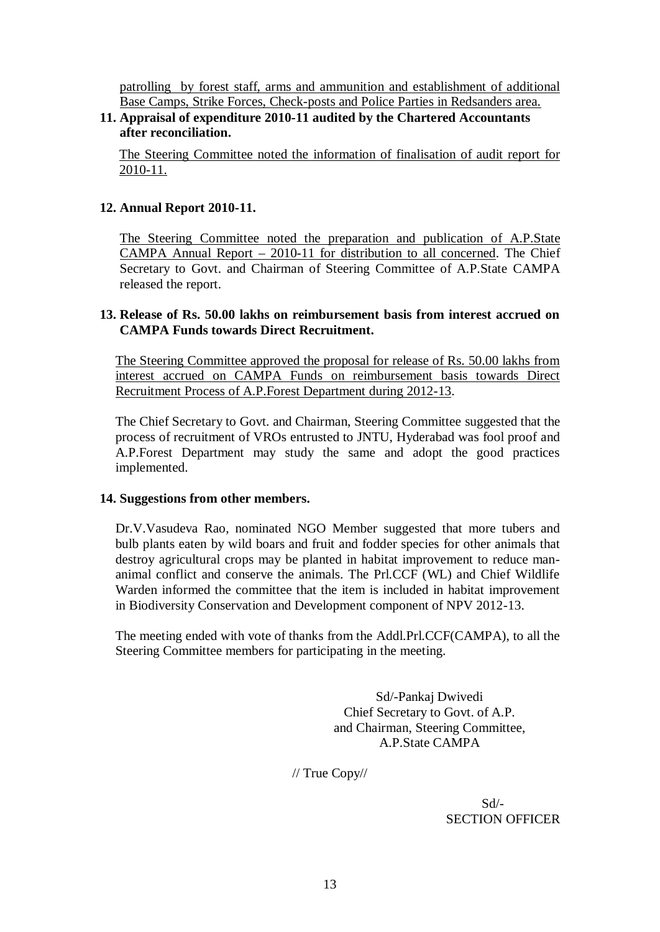patrolling by forest staff, arms and ammunition and establishment of additional Base Camps, Strike Forces, Check-posts and Police Parties in Redsanders area.

### **11. Appraisal of expenditure 2010-11 audited by the Chartered Accountants after reconciliation.**

The Steering Committee noted the information of finalisation of audit report for 2010-11.

#### **12. Annual Report 2010-11.**

The Steering Committee noted the preparation and publication of A.P.State CAMPA Annual Report – 2010-11 for distribution to all concerned. The Chief Secretary to Govt. and Chairman of Steering Committee of A.P.State CAMPA released the report.

#### **13. Release of Rs. 50.00 lakhs on reimbursement basis from interest accrued on CAMPA Funds towards Direct Recruitment.**

The Steering Committee approved the proposal for release of Rs. 50.00 lakhs from interest accrued on CAMPA Funds on reimbursement basis towards Direct Recruitment Process of A.P.Forest Department during 2012-13.

The Chief Secretary to Govt. and Chairman, Steering Committee suggested that the process of recruitment of VROs entrusted to JNTU, Hyderabad was fool proof and A.P.Forest Department may study the same and adopt the good practices implemented.

#### **14. Suggestions from other members.**

Dr.V.Vasudeva Rao, nominated NGO Member suggested that more tubers and bulb plants eaten by wild boars and fruit and fodder species for other animals that destroy agricultural crops may be planted in habitat improvement to reduce mananimal conflict and conserve the animals. The Prl.CCF (WL) and Chief Wildlife Warden informed the committee that the item is included in habitat improvement in Biodiversity Conservation and Development component of NPV 2012-13.

The meeting ended with vote of thanks from the Addl.Prl.CCF(CAMPA), to all the Steering Committee members for participating in the meeting.

> Sd/-Pankaj Dwivedi Chief Secretary to Govt. of A.P. and Chairman, Steering Committee, A.P.State CAMPA

// True Copy//

 Sd/- SECTION OFFICER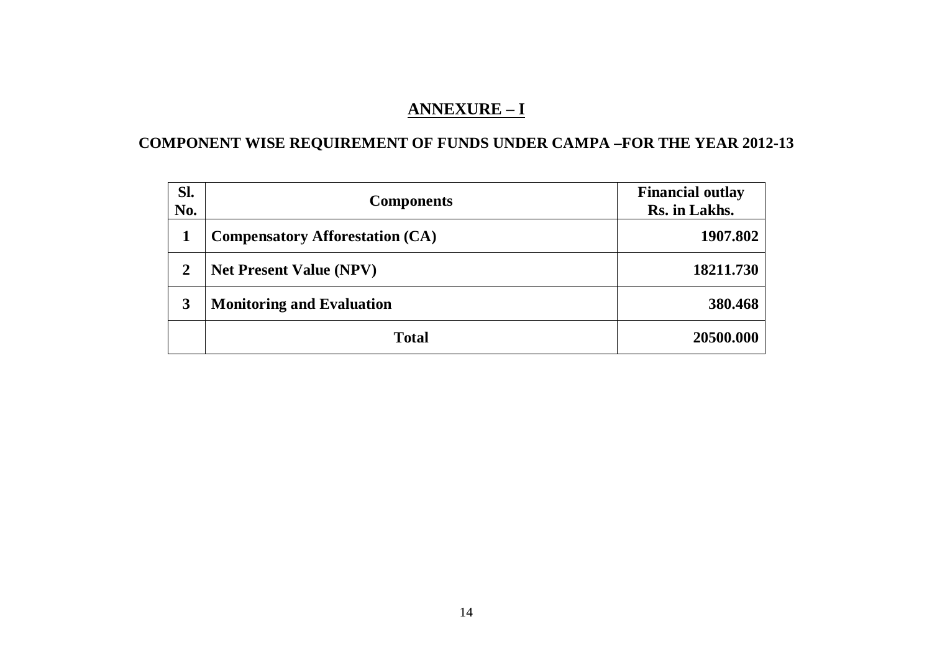## **ANNEXURE – I**

# **COMPONENT WISE REQUIREMENT OF FUNDS UNDER CAMPA –FOR THE YEAR 2012-13**

| Sl.<br>No.     | <b>Components</b>                      | <b>Financial outlay</b><br>Rs. in Lakhs. |
|----------------|----------------------------------------|------------------------------------------|
|                | <b>Compensatory Afforestation (CA)</b> | 1907.802                                 |
| $\overline{2}$ | <b>Net Present Value (NPV)</b>         | 18211.730                                |
| 3              | <b>Monitoring and Evaluation</b>       | 380.468                                  |
|                | <b>Total</b>                           | 20500.000                                |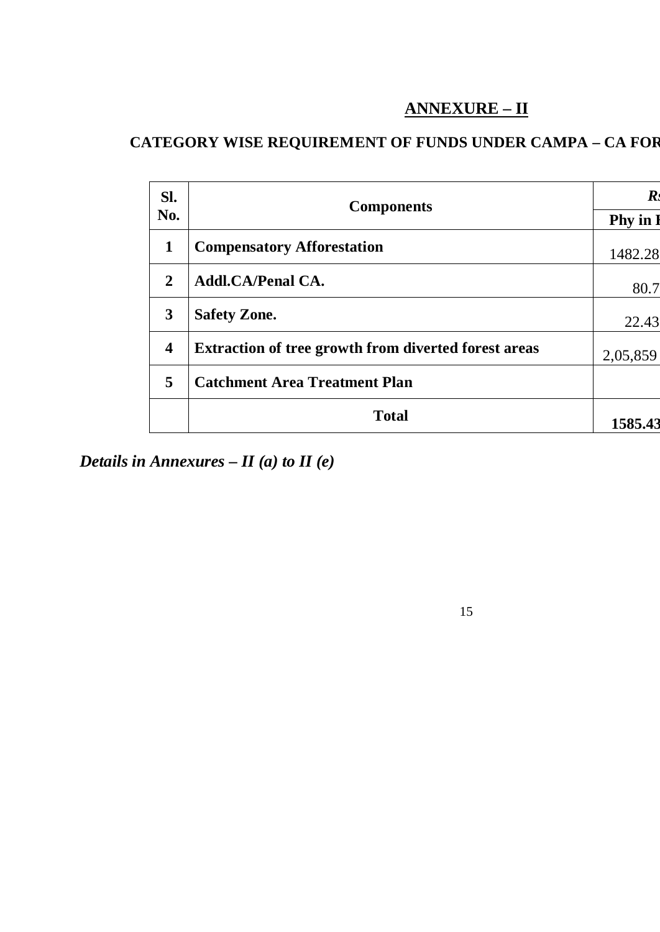# **ANNEXURE – II**

# **CATEGORY WISE REQUIREMENT OF FUNDS UNDER CAMPA – CA FOR**

| SI.                     | <b>Components</b>                                           | $\bm{R}$      |
|-------------------------|-------------------------------------------------------------|---------------|
| No.                     |                                                             | <b>Phy</b> in |
| $\mathbf{1}$            | <b>Compensatory Afforestation</b>                           | 1482.28       |
| $\overline{2}$          | <b>Addl.CA/Penal CA.</b>                                    | 80.7          |
| 3                       | <b>Safety Zone.</b>                                         | 22.43         |
| $\overline{\mathbf{4}}$ | <b>Extraction of tree growth from diverted forest areas</b> | 2,05,859      |
| 5                       | <b>Catchment Area Treatment Plan</b>                        |               |
|                         | <b>Total</b>                                                | 1585.43       |

*Details in Annexures – II (a) to II (e)*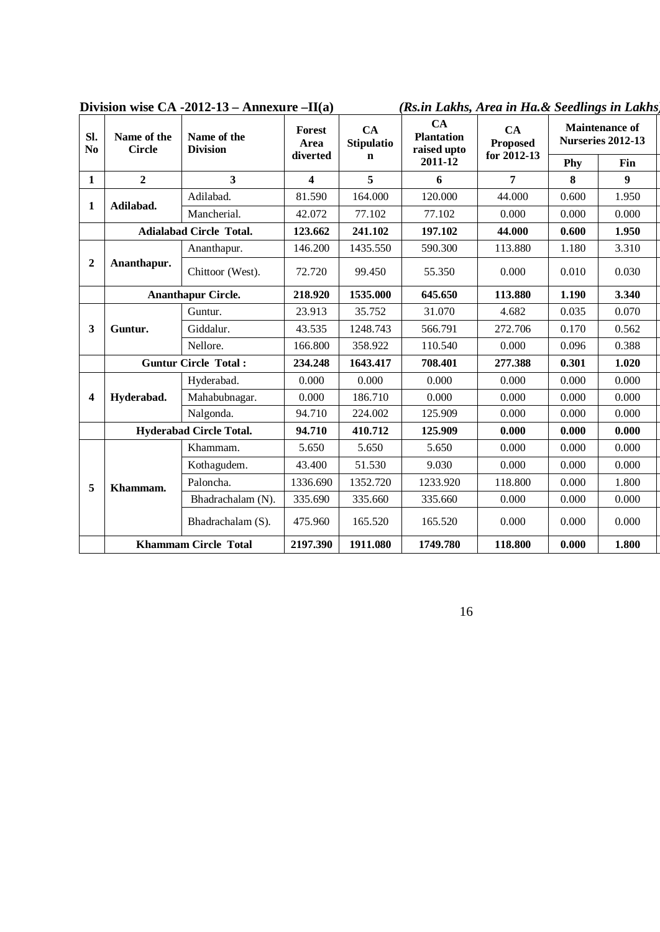| Sl.<br>N <sub>0</sub>   | Name of the<br><b>Circle</b> | Name of the<br><b>Division</b> | CA<br>Forest<br><b>Stipulatio</b><br>Area |          | CA<br><b>Plantation</b><br>raised upto | CA<br><b>Proposed</b> |       | <b>Maintenance of</b><br><b>Nurseries 2012-13</b> |  |  |
|-------------------------|------------------------------|--------------------------------|-------------------------------------------|----------|----------------------------------------|-----------------------|-------|---------------------------------------------------|--|--|
|                         |                              |                                | diverted                                  | n        | 2011-12                                | for 2012-13           | Phy   | <b>Fin</b>                                        |  |  |
| $\mathbf{1}$            | $\overline{2}$               | $\overline{\mathbf{3}}$        | 4                                         | 5        | 6                                      | $\overline{7}$        | 8     | 9 <sup>°</sup>                                    |  |  |
|                         |                              | Adilabad.                      | 81.590                                    | 164.000  | 120.000                                | 44.000                | 0.600 | 1.950                                             |  |  |
| 1                       | Adilabad.                    | Mancherial.                    | 42.072                                    | 77.102   | 77.102                                 | 0.000                 | 0.000 | 0.000                                             |  |  |
|                         |                              | <b>Adialabad Circle Total.</b> | 123.662                                   | 241.102  | 197.102                                | 44.000                | 0.600 | 1.950                                             |  |  |
|                         |                              | Ananthapur.                    | 146.200                                   | 1435.550 | 590.300                                | 113.880               | 1.180 | 3.310                                             |  |  |
| $\overline{2}$          | Ananthapur.                  | Chittoor (West).               | 72.720                                    | 99.450   | 55.350                                 | 0.000                 | 0.010 | 0.030                                             |  |  |
|                         |                              | <b>Ananthapur Circle.</b>      | 218.920                                   | 1535.000 | 645.650                                | 113.880               | 1.190 | 3.340                                             |  |  |
|                         |                              | Guntur.                        | 23.913                                    | 35.752   | 31.070                                 | 4.682                 | 0.035 | 0.070                                             |  |  |
| $\mathbf{3}$            | Guntur.                      | Giddalur.                      | 43.535                                    | 1248.743 | 566.791                                | 272.706               | 0.170 | 0.562                                             |  |  |
|                         |                              | Nellore.                       | 166.800                                   | 358.922  | 110.540                                | 0.000                 | 0.096 | 0.388                                             |  |  |
|                         |                              | <b>Guntur Circle Total:</b>    | 234.248                                   | 1643.417 | 708.401                                | 277.388               | 0.301 | 1.020                                             |  |  |
|                         |                              | Hyderabad.                     | 0.000                                     | 0.000    | 0.000                                  | 0.000                 | 0.000 | 0.000                                             |  |  |
| $\overline{\mathbf{4}}$ | Hyderabad.                   | Mahabubnagar.                  | 0.000                                     | 186.710  | 0.000                                  | 0.000                 | 0.000 | 0.000                                             |  |  |
|                         |                              | Nalgonda.                      | 94.710                                    | 224.002  | 125.909                                | 0.000                 | 0.000 | 0.000                                             |  |  |
|                         |                              | <b>Hyderabad Circle Total.</b> | 94.710                                    | 410.712  | 125.909                                | 0.000                 | 0.000 | 0.000                                             |  |  |
|                         |                              | Khammam.                       | 5.650                                     | 5.650    | 5.650                                  | 0.000                 | 0.000 | 0.000                                             |  |  |
|                         |                              | Kothagudem.                    | 43.400                                    | 51.530   | 9.030                                  | 0.000                 | 0.000 | 0.000                                             |  |  |
| 5                       | Khammam.                     | Paloncha.                      | 1336.690                                  | 1352.720 | 1233.920                               | 118.800               | 0.000 | 1.800                                             |  |  |
|                         |                              | Bhadrachalam (N).              | 335.690                                   | 335.660  | 335.660                                | 0.000                 | 0.000 | 0.000                                             |  |  |
|                         |                              | Bhadrachalam (S).              | 475.960                                   | 165.520  | 165.520                                | 0.000                 | 0.000 | 0.000                                             |  |  |
|                         |                              | <b>Khammam Circle Total</b>    | 2197.390                                  | 1911.080 | 1749.780                               | 118.800               | 0.000 | 1.800                                             |  |  |

**Division wise CA -2012-13 – Annexure –II(a)** *(Rs.in Lakhs, Area in Ha.& Seedlings in Lakhs)*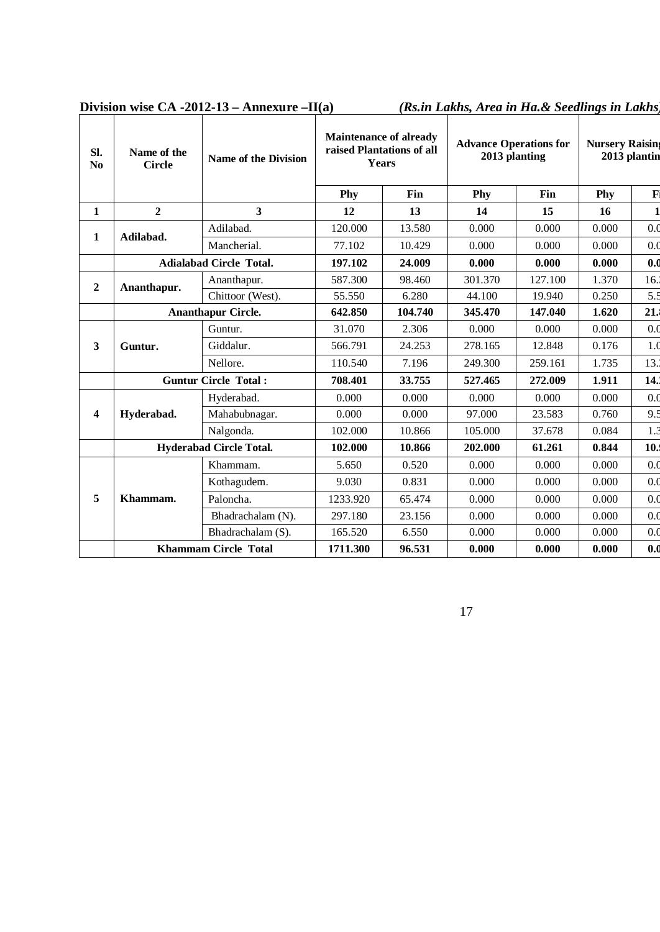| Sl.<br>N <sub>0</sub> | Name of the<br><b>Circle</b> | Name of the Division           | <b>Maintenance of already</b><br>raised Plantations of all<br>Years |         | <b>Advance Operations for</b><br>2013 planting |         | <b>Nursery Raising</b><br>2013 plantin |                  |
|-----------------------|------------------------------|--------------------------------|---------------------------------------------------------------------|---------|------------------------------------------------|---------|----------------------------------------|------------------|
|                       |                              |                                | Phy                                                                 | Fin     | Phy                                            | Fin     | Phy                                    | $\mathbf{F}$     |
| 1                     | $\overline{2}$               | $\overline{\mathbf{3}}$        | 12                                                                  | 13      | 14                                             | 15      | 16                                     | $\mathbf{1}$     |
|                       |                              | Adilabad.                      | 120.000                                                             | 13.580  | 0.000                                          | 0.000   | 0.000                                  | 0.0              |
| 1                     | Adilabad.                    | Mancherial.                    | 77.102                                                              | 10.429  | 0.000                                          | 0.000   | 0.000                                  | 0.0              |
|                       |                              | <b>Adialabad Circle Total.</b> | 197.102                                                             | 24.009  | 0.000                                          | 0.000   | 0.000                                  | 0.0              |
| $\overline{2}$        | Ananthapur.                  | Ananthapur.                    | 587.300                                                             | 98.460  | 301.370                                        | 127.100 | 1.370                                  | 16.              |
|                       |                              | Chittoor (West).               | 55.550                                                              | 6.280   | 44.100                                         | 19.940  | 0.250                                  | 5.5              |
|                       | <b>Ananthapur Circle.</b>    |                                | 642.850                                                             | 104.740 | 345.470                                        | 147.040 | 1.620                                  | 21.              |
|                       | Guntur.                      | Guntur.                        | 31.070                                                              | 2.306   | 0.000                                          | 0.000   | 0.000                                  | 0.0              |
| 3                     |                              | Giddalur.                      | 566.791                                                             | 24.253  | 278.165                                        | 12.848  | 0.176                                  | 1 <sub>0</sub>   |
|                       |                              | Nellore.                       | 110.540                                                             | 7.196   | 249.300                                        | 259.161 | 1.735                                  | 13.3             |
|                       |                              | <b>Guntur Circle Total:</b>    | 708.401                                                             | 33.755  | 527.465                                        | 272.009 | 1.911                                  | 14.              |
|                       |                              | Hyderabad.                     | 0.000                                                               | 0.000   | 0.000                                          | 0.000   | 0.000                                  | 0.0              |
| 4                     | Hyderabad.                   | Mahabubnagar.                  | 0.000                                                               | 0.000   | 97.000                                         | 23.583  | 0.760                                  | 9.5              |
|                       |                              | Nalgonda.                      | 102.000                                                             | 10.866  | 105.000                                        | 37.678  | 0.084                                  | $1.\overline{3}$ |
|                       |                              | <b>Hyderabad Circle Total.</b> | 102.000                                                             | 10.866  | 202.000                                        | 61.261  | 0.844                                  | 10.              |
|                       |                              | Khammam.                       | 5.650                                                               | 0.520   | 0.000                                          | 0.000   | 0.000                                  | 0.0              |
|                       |                              | Kothagudem.                    | 9.030                                                               | 0.831   | 0.000                                          | 0.000   | 0.000                                  | 0.0              |
| 5                     | Khammam.                     | Paloncha.                      | 1233.920                                                            | 65.474  | 0.000                                          | 0.000   | 0.000                                  | 0.0              |
|                       |                              | Bhadrachalam (N).              | 297.180                                                             | 23.156  | 0.000                                          | 0.000   | 0.000                                  | 0.0              |
|                       |                              | Bhadrachalam (S).              | 165.520                                                             | 6.550   | 0.000                                          | 0.000   | 0.000                                  | 0.0              |
|                       | <b>Khammam Circle Total</b>  |                                | 1711.300                                                            | 96.531  | 0.000                                          | 0.000   | 0.000                                  | 0.0              |

**Division wise CA -2012-13 – Annexure –II(a)** *(Rs.in Lakhs, Area in Ha.& Seedlings in Lakhs)*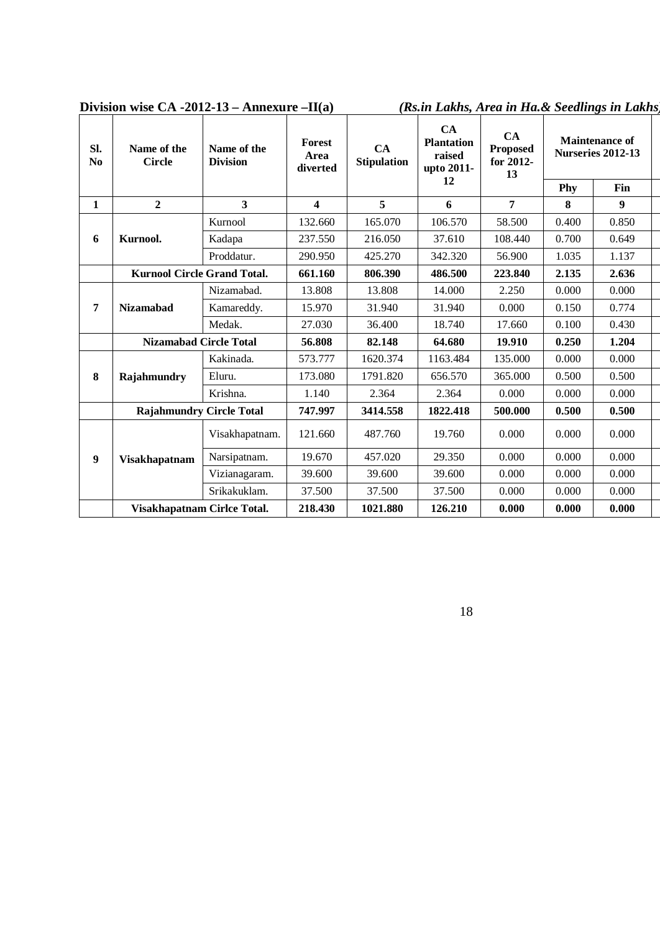| Sl.<br>$\mathbf{N}\mathbf{0}$ | Name of the<br><b>Circle</b>       | Name of the<br><b>Division</b> | <b>Forest</b><br>Area<br>diverted | CA<br><b>Stipulation</b> | CA<br><b>Plantation</b><br>raised<br>upto 2011- | CA<br><b>Proposed</b><br>for 2012-<br>13 |       | <b>Maintenance of</b><br><b>Nurseries 2012-13</b> |  |
|-------------------------------|------------------------------------|--------------------------------|-----------------------------------|--------------------------|-------------------------------------------------|------------------------------------------|-------|---------------------------------------------------|--|
|                               |                                    |                                |                                   |                          | 12                                              |                                          | Phy   | Fin                                               |  |
| 1                             | $\overline{2}$                     | 3                              | $\overline{\mathbf{4}}$           | 5                        | 6                                               | $\overline{7}$                           | 8     | 9                                                 |  |
|                               |                                    | Kurnool                        | 132.660                           | 165.070                  | 106.570                                         | 58.500                                   | 0.400 | 0.850                                             |  |
| 6                             | Kurnool.                           | Kadapa                         | 237.550                           | 216.050                  | 37.610                                          | 108.440                                  | 0.700 | 0.649                                             |  |
|                               |                                    | Proddatur.                     | 290.950                           | 425.270                  | 342.320                                         | 56.900                                   | 1.035 | 1.137                                             |  |
|                               | <b>Kurnool Circle Grand Total.</b> |                                | 661.160                           | 806.390                  | 486.500                                         | 223.840                                  | 2.135 | 2.636                                             |  |
|                               |                                    | Nizamabad.                     | 13.808                            | 13.808                   | 14.000                                          | 2.250                                    | 0.000 | 0.000                                             |  |
| 7                             | <b>Nizamabad</b>                   | Kamareddy.                     | 15.970                            | 31.940                   | 31.940                                          | 0.000                                    | 0.150 | 0.774                                             |  |
|                               |                                    | Medak.                         | 27.030                            | 36.400                   | 18.740                                          | 17.660                                   | 0.100 | 0.430                                             |  |
|                               | <b>Nizamabad Circle Total</b>      |                                | 56.808                            | 82.148                   | 64.680                                          | 19.910                                   | 0.250 | 1.204                                             |  |
|                               |                                    | Kakinada.                      | 573.777                           | 1620.374                 | 1163.484                                        | 135.000                                  | 0.000 | 0.000                                             |  |
| 8                             | Rajahmundry                        | Eluru.                         | 173.080                           | 1791.820                 | 656.570                                         | 365.000                                  | 0.500 | 0.500                                             |  |
|                               |                                    | Krishna.                       | 1.140                             | 2.364                    | 2.364                                           | 0.000                                    | 0.000 | 0.000                                             |  |
|                               | <b>Rajahmundry Circle Total</b>    |                                | 747.997                           | 3414.558                 | 1822.418                                        | 500.000                                  | 0.500 | 0.500                                             |  |
|                               |                                    | Visakhapatnam.                 | 121.660                           | 487.760                  | 19.760                                          | 0.000                                    | 0.000 | 0.000                                             |  |
| 9                             | <b>Visakhapatnam</b>               | Narsipatnam.                   | 19.670                            | 457.020                  | 29.350                                          | 0.000                                    | 0.000 | 0.000                                             |  |
|                               |                                    | Vizianagaram.                  | 39.600                            | 39.600                   | 39.600                                          | 0.000                                    | 0.000 | 0.000                                             |  |
|                               |                                    | Srikakuklam.                   | 37.500                            | 37.500                   | 37.500                                          | 0.000                                    | 0.000 | 0.000                                             |  |
|                               | Visakhapatnam Cirlce Total.        |                                | 218.430                           | 1021.880                 | 126.210                                         | 0.000                                    | 0.000 | 0.000                                             |  |

**Division wise CA -2012-13 – Annexure –II(a)** *(Rs.in Lakhs, Area in Ha.& Seedlings in Lakhs)*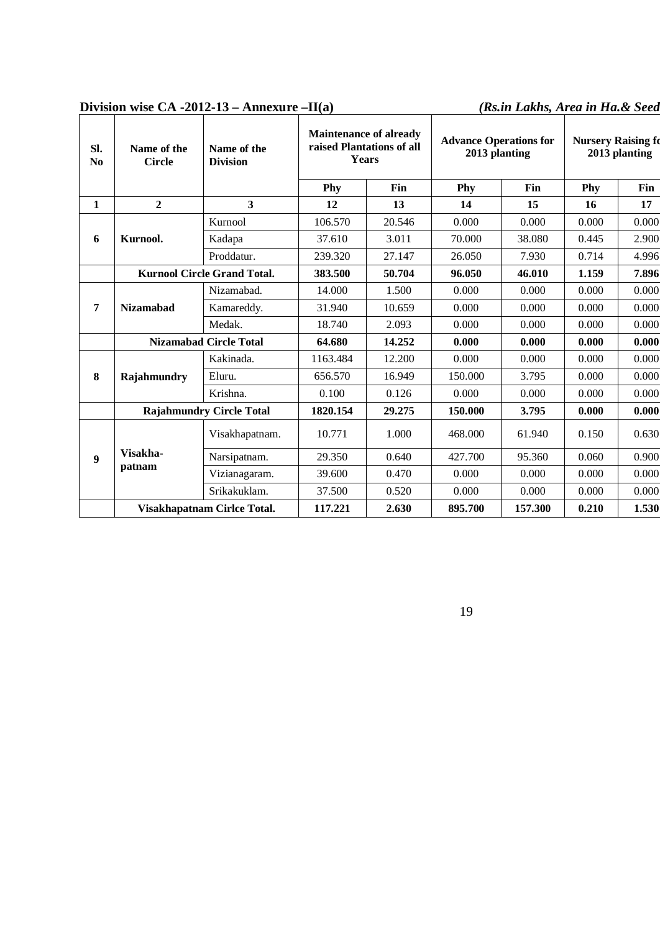| SI.<br>N <sub>0</sub> | Name of the<br><b>Circle</b>    | Name of the<br><b>Division</b>     | <b>Maintenance of already</b><br>raised Plantations of all<br><b>Years</b> |        | <b>Advance Operations for</b><br>2013 planting |         | <b>Nursery Raising fo</b><br>2013 planting |       |  |
|-----------------------|---------------------------------|------------------------------------|----------------------------------------------------------------------------|--------|------------------------------------------------|---------|--------------------------------------------|-------|--|
|                       |                                 |                                    | Phy                                                                        | Fin    | Phy                                            | Fin     | Phy                                        | Fin   |  |
| $\mathbf{1}$          | $\overline{2}$                  | 3                                  | 12                                                                         | 13     | 14                                             | 15      | 16                                         | 17    |  |
|                       |                                 | Kurnool                            | 106.570                                                                    | 20.546 | 0.000                                          | 0.000   | 0.000                                      | 0.000 |  |
| 6                     | Kurnool.                        | Kadapa                             | 37.610                                                                     | 3.011  | 70.000                                         | 38.080  | 0.445                                      | 2.900 |  |
|                       |                                 | Proddatur.                         | 239.320                                                                    | 27.147 | 26.050                                         | 7.930   | 0.714                                      | 4.996 |  |
|                       |                                 | <b>Kurnool Circle Grand Total.</b> | 383.500                                                                    | 50.704 | 96.050                                         | 46.010  | 1.159                                      | 7.896 |  |
|                       |                                 | Nizamabad.                         | 14.000                                                                     | 1.500  | 0.000                                          | 0.000   | 0.000                                      | 0.000 |  |
| 7                     | <b>Nizamabad</b>                | Kamareddy.                         | 31.940                                                                     | 10.659 | 0.000                                          | 0.000   | 0.000                                      | 0.000 |  |
|                       |                                 | Medak.                             | 18.740                                                                     | 2.093  | 0.000                                          | 0.000   | 0.000                                      | 0.000 |  |
|                       |                                 | <b>Nizamabad Circle Total</b>      | 64.680                                                                     | 14.252 | 0.000                                          | 0.000   | 0.000                                      | 0.000 |  |
|                       |                                 | Kakinada.                          | 1163.484                                                                   | 12.200 | 0.000                                          | 0.000   | 0.000                                      | 0.000 |  |
| 8                     | Rajahmundry                     | Eluru.                             | 656.570                                                                    | 16.949 | 150.000                                        | 3.795   | 0.000                                      | 0.000 |  |
|                       |                                 | Krishna.                           | 0.100                                                                      | 0.126  | 0.000                                          | 0.000   | 0.000                                      | 0.000 |  |
|                       | <b>Rajahmundry Circle Total</b> |                                    | 1820.154                                                                   | 29.275 | 150.000                                        | 3.795   | 0.000                                      | 0.000 |  |
|                       |                                 | Visakhapatnam.                     | 10.771                                                                     | 1.000  | 468.000                                        | 61.940  | 0.150                                      | 0.630 |  |
| 9                     | Visakha-                        | Narsipatnam.                       | 29.350                                                                     | 0.640  | 427.700                                        | 95.360  | 0.060                                      | 0.900 |  |
|                       | patnam                          | Vizianagaram.                      | 39.600                                                                     | 0.470  | 0.000                                          | 0.000   | 0.000                                      | 0.000 |  |
|                       |                                 | Srikakuklam.                       | 37.500                                                                     | 0.520  | 0.000                                          | 0.000   | 0.000                                      | 0.000 |  |
|                       | Visakhapatnam Cirlce Total.     |                                    | 117.221                                                                    | 2.630  | 895.700                                        | 157.300 | 0.210                                      | 1.530 |  |

### Division wise CA -2012-13 – Annexure –II(a) *(Rs.in Lakhs, Area in Ha.& Seed*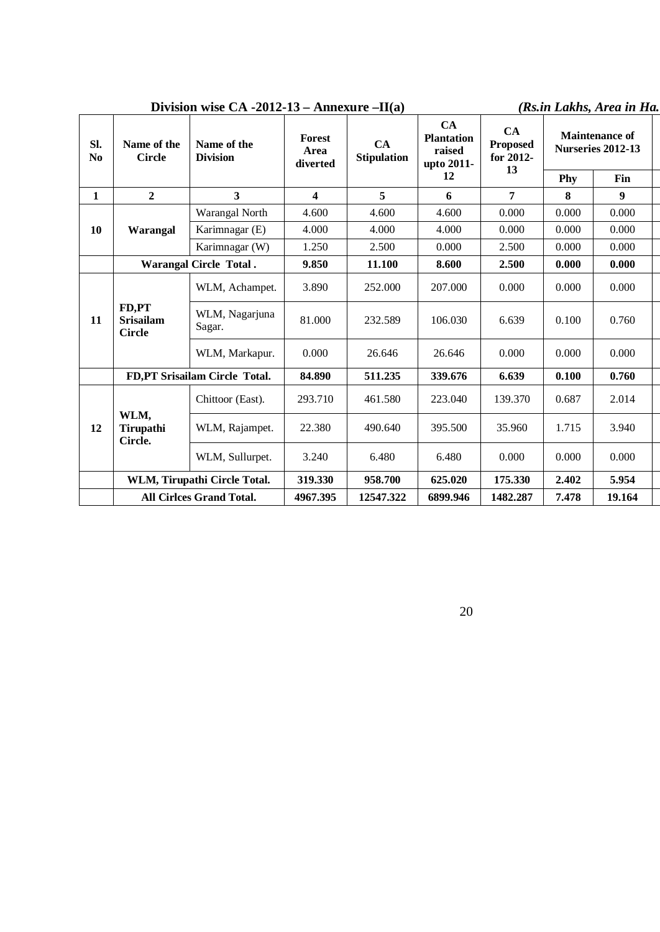## **Division wise CA -2012-13 – Annexure –II(a)** *(Rs.in Lakhs, Area in Ha.*

| SI.<br>$\mathbf{N}\mathbf{0}$ | Name of the<br><b>Circle</b>               | Name of the<br><b>Division</b>  | <b>Forest</b><br>Area<br>diverted | CA<br><b>Stipulation</b> | CA<br><b>Plantation</b><br>raised<br>upto 2011- | CA<br><b>Proposed</b><br>for 2012-<br>13 | <b>Maintenance of</b><br>Nurseries 2012-13 |        |  |
|-------------------------------|--------------------------------------------|---------------------------------|-----------------------------------|--------------------------|-------------------------------------------------|------------------------------------------|--------------------------------------------|--------|--|
|                               |                                            |                                 |                                   |                          | 12                                              |                                          | Phy                                        | Fin    |  |
| $\mathbf{1}$                  | $\overline{2}$                             | $\overline{\mathbf{3}}$         | $\overline{\mathbf{4}}$           | 5                        | 6                                               | 7                                        | 8                                          | 9      |  |
|                               |                                            | Warangal North                  | 4.600                             | 4.600                    | 4.600                                           | 0.000                                    | 0.000                                      | 0.000  |  |
| 10                            | Warangal                                   | Karimnagar (E)                  | 4.000                             | 4.000                    | 4.000                                           | 0.000                                    | 0.000                                      | 0.000  |  |
|                               |                                            | Karimnagar (W)                  | 1.250                             | 2.500                    | 0.000                                           | 2.500                                    | 0.000                                      | 0.000  |  |
|                               |                                            | <b>Warangal Circle Total.</b>   | 9.850                             | 11.100                   | 8.600                                           | 2.500                                    | 0.000                                      | 0.000  |  |
|                               |                                            | WLM, Achampet.                  | 3.890                             | 252.000                  | 207.000                                         | 0.000                                    | 0.000                                      | 0.000  |  |
| 11                            | FD,PT<br><b>Srisailam</b><br><b>Circle</b> | WLM, Nagarjuna<br>Sagar.        | 81.000                            | 232.589                  | 106.030                                         | 6.639                                    | 0.100                                      | 0.760  |  |
|                               |                                            | WLM, Markapur.                  | 0.000                             | 26.646                   | 26.646                                          | 0.000                                    | 0.000                                      | 0.000  |  |
|                               |                                            | FD,PT Srisailam Circle Total.   | 84.890                            | 511.235                  | 339.676                                         | 6.639                                    | 0.100                                      | 0.760  |  |
|                               |                                            | Chittoor (East).                | 293.710                           | 461.580                  | 223.040                                         | 139.370                                  | 0.687                                      | 2.014  |  |
| 12                            | WLM,<br>Tirupathi<br>Circle.               | WLM, Rajampet.                  | 22.380                            | 490.640                  | 395.500                                         | 35.960                                   | 1.715                                      | 3.940  |  |
|                               |                                            | WLM, Sullurpet.                 | 3.240                             | 6.480                    | 6.480                                           | 0.000                                    | 0.000                                      | 0.000  |  |
|                               |                                            | WLM, Tirupathi Circle Total.    | 319.330                           | 958.700                  | 625.020                                         | 175.330                                  | 2.402                                      | 5.954  |  |
|                               |                                            | <b>All Cirlces Grand Total.</b> | 4967.395                          | 12547.322                | 6899.946                                        | 1482.287                                 | 7.478                                      | 19.164 |  |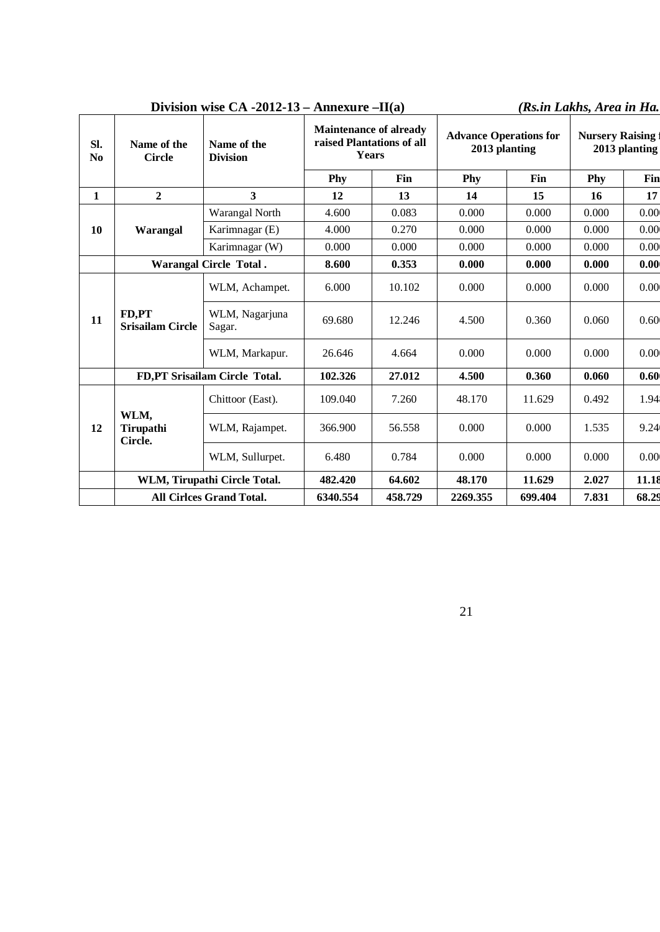|                       |                                  | DIVISION WISC CA $-2012-13-$ AMICAUTE $-11(a)$ |                                                                            |         |                                                |         | As.in Lakhs, Area in Ha.                |       |
|-----------------------|----------------------------------|------------------------------------------------|----------------------------------------------------------------------------|---------|------------------------------------------------|---------|-----------------------------------------|-------|
| SI.<br>N <sub>0</sub> | Name of the<br><b>Circle</b>     | Name of the<br><b>Division</b>                 | <b>Maintenance of already</b><br>raised Plantations of all<br><b>Years</b> |         | <b>Advance Operations for</b><br>2013 planting |         | <b>Nursery Raising</b><br>2013 planting |       |
|                       |                                  |                                                | Phy                                                                        | Fin     | Phy                                            | Fin     | Phy                                     | Fin   |
| $\mathbf{1}$          | $\overline{2}$                   | $\overline{3}$                                 | 12                                                                         | 13      | 14                                             | 15      | 16                                      | 17    |
|                       |                                  | Warangal North                                 | 4.600                                                                      | 0.083   | 0.000                                          | 0.000   | 0.000                                   | 0.00  |
| 10                    | Warangal                         | Karimnagar (E)                                 | 4.000                                                                      | 0.270   | 0.000                                          | 0.000   | 0.000                                   | 0.00  |
|                       |                                  | Karimnagar (W)                                 | 0.000                                                                      | 0.000   | 0.000                                          | 0.000   | 0.000                                   | 0.00  |
|                       |                                  | <b>Warangal Circle Total.</b>                  | 8.600                                                                      | 0.353   | 0.000                                          | 0.000   | 0.000                                   | 0.00  |
|                       |                                  | WLM, Achampet.                                 | 6.000                                                                      | 10.102  | 0.000                                          | 0.000   | 0.000                                   | 0.00  |
| 11                    | FD,PT<br><b>Srisailam Circle</b> | WLM, Nagarjuna<br>Sagar.                       | 69.680                                                                     | 12.246  | 4.500                                          | 0.360   | 0.060                                   | 0.60  |
|                       |                                  | WLM, Markapur.                                 | 26.646                                                                     | 4.664   | 0.000                                          | 0.000   | 0.000                                   | 0.00  |
|                       |                                  | FD, PT Srisailam Circle Total.                 | 102.326                                                                    | 27.012  | 4.500                                          | 0.360   | 0.060                                   | 0.60  |
|                       |                                  | Chittoor (East).                               | 109.040                                                                    | 7.260   | 48.170                                         | 11.629  | 0.492                                   | 1.94  |
| 12                    | WLM,<br>Tirupathi<br>Circle.     | WLM, Rajampet.                                 | 366.900                                                                    | 56.558  | 0.000                                          | 0.000   | 1.535                                   | 9.24  |
|                       |                                  | WLM, Sullurpet.                                | 6.480                                                                      | 0.784   | 0.000                                          | 0.000   | 0.000                                   | 0.00  |
|                       |                                  | WLM, Tirupathi Circle Total.                   | 482.420                                                                    | 64.602  | 48.170                                         | 11.629  | 2.027                                   | 11.18 |
|                       |                                  | <b>All Cirlces Grand Total.</b>                | 6340.554                                                                   | 458.729 | 2269.355                                       | 699.404 | 7.831                                   | 68.29 |

## **Division wise CA -2012-13 – Annexure –II(a)** *(Rs.in Lakhs, Area in Ha.*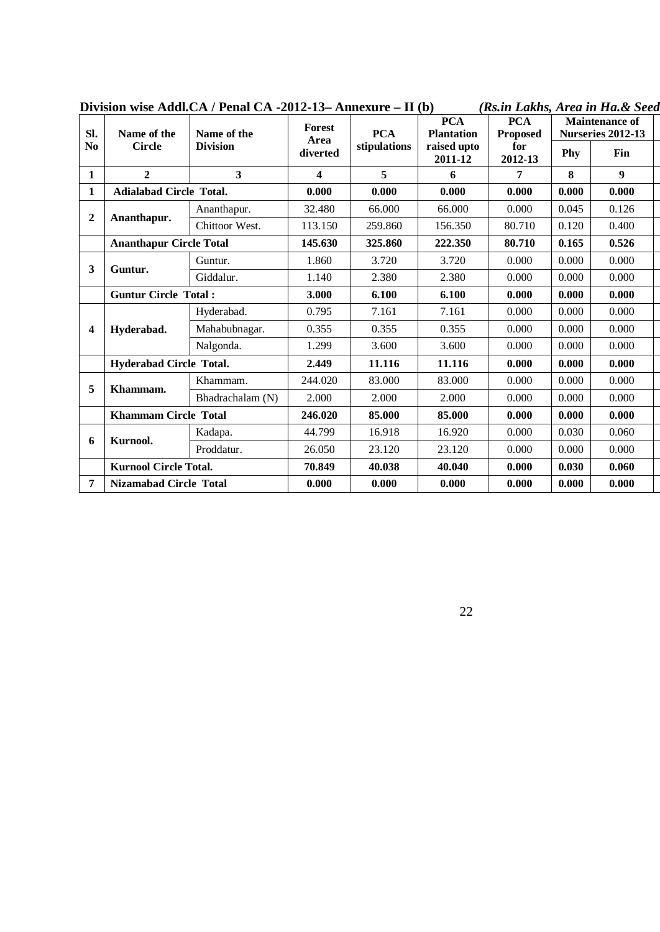| SI.            | Name of the                    | DIVISIVII WISC AGGII:CA / I CHAI CA "2012"19" AMIICAUTC<br>Name of the | <b>Forest</b>    | - 11 I V J<br><b>PCA</b> | <b>PCA</b><br><b>Plantation</b> | (Iw. <i>m Lawns, Arca m Ha.</i> x Deca<br><b>PCA</b><br><b>Proposed</b> |       | <b>Maintenance of</b><br>Nurseries 2012-13 |  |
|----------------|--------------------------------|------------------------------------------------------------------------|------------------|--------------------------|---------------------------------|-------------------------------------------------------------------------|-------|--------------------------------------------|--|
| N <sub>0</sub> | <b>Circle</b>                  | <b>Division</b>                                                        | Area<br>diverted | stipulations             | raised upto<br>2011-12          | for<br>2012-13                                                          | Phy   | Fin                                        |  |
| $\mathbf{1}$   | $\mathbf{2}$                   | $\overline{\mathbf{3}}$                                                | 4                | 5                        | 6                               | 7                                                                       | 8     | $\boldsymbol{9}$                           |  |
| $\mathbf{1}$   | <b>Adialabad Circle Total.</b> |                                                                        | 0.000            | 0.000                    | 0.000                           | 0.000                                                                   | 0.000 | 0.000                                      |  |
|                |                                | Ananthapur.                                                            | 32.480           | 66.000                   | 66.000                          | 0.000                                                                   | 0.045 | 0.126                                      |  |
| $\overline{2}$ | Ananthapur.                    | Chittoor West.                                                         | 113.150          | 259.860                  | 156.350                         | 80.710                                                                  | 0.120 | 0.400                                      |  |
|                | <b>Ananthapur Circle Total</b> |                                                                        | 145.630          | 325.860                  | 222.350                         | 80.710                                                                  | 0.165 | 0.526                                      |  |
|                |                                | Guntur.                                                                | 1.860            | 3.720                    | 3.720                           | 0.000                                                                   | 0.000 | 0.000                                      |  |
| 3              | Guntur.                        | Giddalur.                                                              | 1.140            | 2.380                    | 2.380                           | 0.000                                                                   | 0.000 | 0.000                                      |  |
|                | <b>Guntur Circle Total:</b>    |                                                                        | 3.000            | 6.100                    | 6.100                           | 0.000                                                                   | 0.000 | 0.000                                      |  |
|                |                                | Hyderabad.                                                             | 0.795            | 7.161                    | 7.161                           | 0.000                                                                   | 0.000 | 0.000                                      |  |
| 4              | Hyderabad.                     | Mahabubnagar.                                                          | 0.355            | 0.355                    | 0.355                           | 0.000                                                                   | 0.000 | 0.000                                      |  |
|                |                                | Nalgonda.                                                              | 1.299            | 3.600                    | 3.600                           | 0.000                                                                   | 0.000 | 0.000                                      |  |
|                | Hyderabad Circle Total.        |                                                                        | 2.449            | 11.116                   | 11.116                          | 0.000                                                                   | 0.000 | 0.000                                      |  |
| 5              |                                | Khammam.                                                               | 244.020          | 83.000                   | 83.000                          | 0.000                                                                   | 0.000 | 0.000                                      |  |
|                | Khammam.                       | Bhadrachalam (N)                                                       | 2.000            | 2.000                    | 2.000                           | 0.000                                                                   | 0.000 | 0.000                                      |  |
|                | <b>Khammam Circle Total</b>    |                                                                        | 246.020          | 85,000                   | 85,000                          | 0.000                                                                   | 0.000 | 0.000                                      |  |
|                | Kurnool.                       | Kadapa.                                                                | 44.799           | 16.918                   | 16.920                          | 0.000                                                                   | 0.030 | 0.060                                      |  |
| 6              |                                | Proddatur.                                                             | 26.050           | 23.120                   | 23.120                          | 0.000                                                                   | 0.000 | 0.000                                      |  |
|                | <b>Kurnool Circle Total.</b>   |                                                                        | 70.849           | 40.038                   | 40.040                          | 0.000                                                                   | 0.030 | 0.060                                      |  |
| $\overline{7}$ | Nizamabad Circle Total         |                                                                        | 0.000            | 0.000                    | 0.000                           | 0.000                                                                   | 0.000 | 0.000                                      |  |

|--|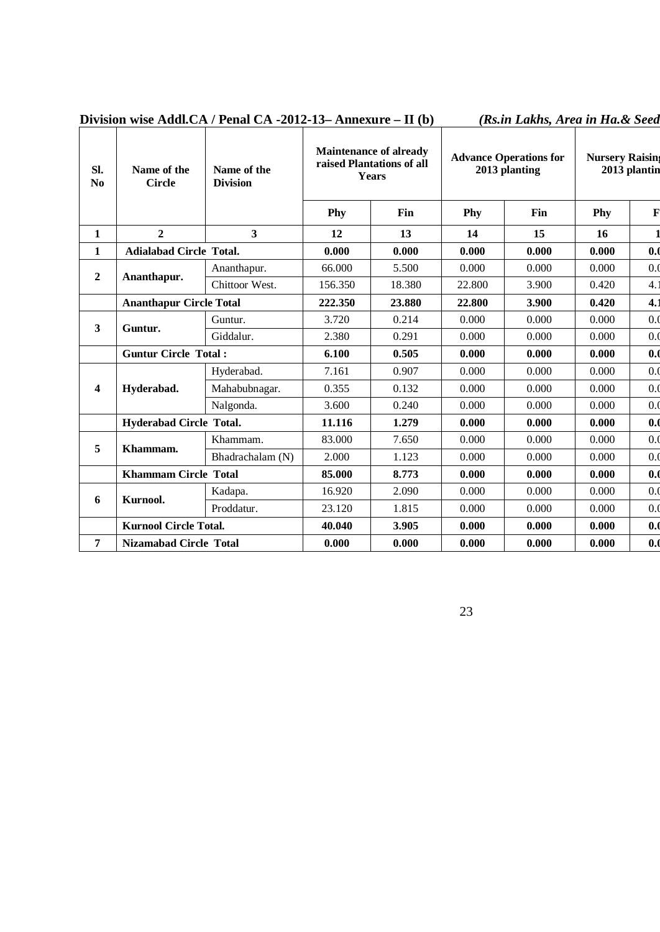|  | Division wise Addl, CA / Penal CA -2012-13- Annexure - $\Pi$ (b) | (Rs.in Lakhs, Area in Ha.& Seed |  |
|--|------------------------------------------------------------------|---------------------------------|--|
|  |                                                                  |                                 |  |

| Sl.<br>$\mathbf{N}\mathbf{0}$ | Name of the<br><b>Circle</b>   | Name of the<br><b>Division</b> | <b>Maintenance of already</b><br>raised Plantations of all<br>Years |        | <b>Advance Operations for</b><br>2013 planting |       | <b>Nursery Raising</b><br>2013 plantin |             |
|-------------------------------|--------------------------------|--------------------------------|---------------------------------------------------------------------|--------|------------------------------------------------|-------|----------------------------------------|-------------|
|                               |                                |                                | Phy                                                                 | Fin    | Phy                                            | Fin   | Phy                                    | $\mathbf F$ |
| $\mathbf{1}$                  | $\overline{2}$                 | $\overline{\mathbf{3}}$        | 12                                                                  | 13     | 14                                             | 15    | 16                                     |             |
| $\mathbf{1}$                  | <b>Adialabad Circle Total.</b> |                                | 0.000                                                               | 0.000  | 0.000                                          | 0.000 | 0.000                                  | 0.0         |
|                               |                                | Ananthapur.                    | 66.000                                                              | 5.500  | 0.000                                          | 0.000 | 0.000                                  | 0.0         |
| $\boldsymbol{2}$              | Ananthapur.                    | Chittoor West.                 | 156.350                                                             | 18.380 | 22.800                                         | 3.900 | 0.420                                  | 4.1         |
|                               | <b>Ananthapur Circle Total</b> |                                | 222,350                                                             | 23.880 | 22.800                                         | 3.900 | 0.420                                  | 4.1         |
|                               | Guntur.                        | Guntur.                        | 3.720                                                               | 0.214  | 0.000                                          | 0.000 | 0.000                                  | 0.0         |
| $\overline{\mathbf{3}}$       | Giddalur.                      |                                | 2.380                                                               | 0.291  | 0.000                                          | 0.000 | 0.000                                  | 0.0         |
|                               | <b>Guntur Circle Total:</b>    |                                | 6.100                                                               | 0.505  | 0.000                                          | 0.000 | 0.000                                  | 0.0         |
|                               |                                | Hyderabad.                     | 7.161                                                               | 0.907  | 0.000                                          | 0.000 | 0.000                                  | 0.0         |
| $\overline{\mathbf{4}}$       | Hyderabad.                     | Mahabubnagar.                  | 0.355                                                               | 0.132  | 0.000                                          | 0.000 | 0.000                                  | 0.0         |
|                               |                                | Nalgonda.                      | 3.600                                                               | 0.240  | 0.000                                          | 0.000 | 0.000                                  | 0.0         |
|                               | <b>Hyderabad Circle Total.</b> |                                | 11.116                                                              | 1.279  | 0.000                                          | 0.000 | 0.000                                  | 0.0         |
| 5                             |                                | Khammam.                       | 83.000                                                              | 7.650  | 0.000                                          | 0.000 | 0.000                                  | 0.0         |
|                               | Khammam.                       | Bhadrachalam (N)               | 2.000                                                               | 1.123  | 0.000                                          | 0.000 | 0.000                                  | 0.0         |
|                               | <b>Khammam Circle Total</b>    |                                | 85,000                                                              | 8.773  | 0.000                                          | 0.000 | 0.000                                  | 0.0         |
| 6                             |                                | Kadapa.                        | 16.920                                                              | 2.090  | 0.000                                          | 0.000 | 0.000                                  | 0.0         |
|                               | Kurnool.<br>Proddatur.         |                                | 23.120                                                              | 1.815  | 0.000                                          | 0.000 | 0.000                                  | 0.0         |
|                               | <b>Kurnool Circle Total.</b>   |                                | 40.040                                                              | 3.905  | 0.000                                          | 0.000 | 0.000                                  | 0.0         |
| $\overline{7}$                | <b>Nizamabad Circle Total</b>  |                                | 0.000                                                               | 0.000  | 0.000                                          | 0.000 | 0.000                                  | 0.0         |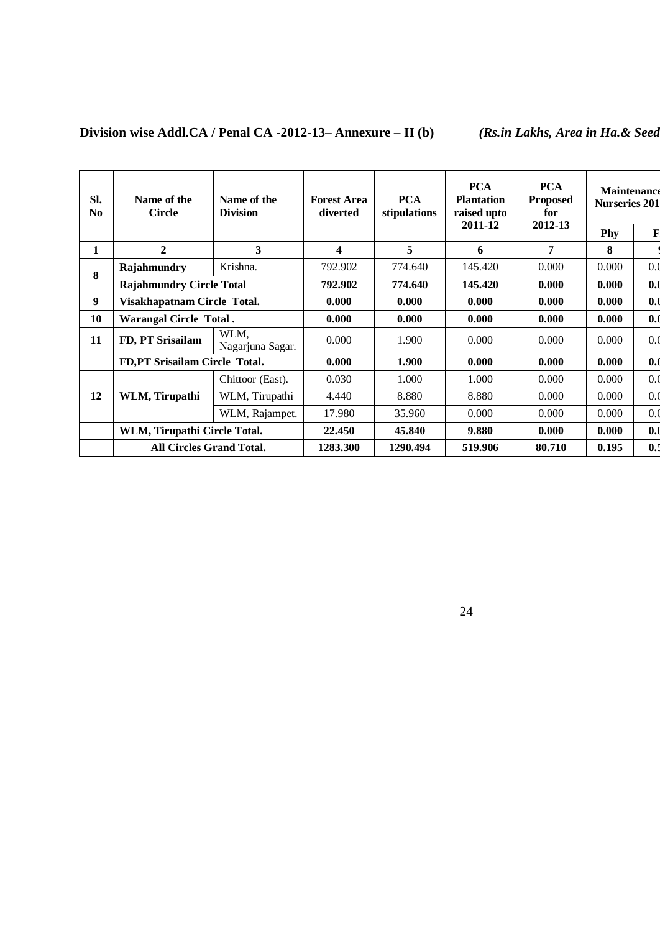| SI.<br>N <sub>0</sub> | Name of the<br><b>Circle</b>    | Name of the<br><b>Division</b> | <b>Forest Area</b><br>diverted | <b>PCA</b><br>stipulations | <b>PCA</b><br><b>Plantation</b><br>raised upto | <b>PCA</b><br><b>Proposed</b><br>for | <b>Maintenance</b><br><b>Nurseries 201</b> |             |
|-----------------------|---------------------------------|--------------------------------|--------------------------------|----------------------------|------------------------------------------------|--------------------------------------|--------------------------------------------|-------------|
|                       |                                 |                                |                                |                            | 2011-12                                        | 2012-13                              | Phy                                        | $\mathbf F$ |
| 1                     | $\mathbf{2}$                    | 3                              | 4                              | 5                          | 6                                              | 7                                    | 8                                          |             |
| 8                     | Rajahmundry                     | Krishna.                       | 792.902                        | 774.640                    | 145.420                                        | 0.000                                | 0.000                                      | 0.0         |
|                       | <b>Rajahmundry Circle Total</b> |                                | 792.902                        | 774.640                    | 145.420                                        | 0.000                                | 0.000                                      | 0.0         |
| 9                     | Visakhapatnam Circle Total.     |                                | 0.000                          | 0.000                      | 0.000                                          | 0.000                                | 0.000                                      | 0.0         |
| 10                    |                                 | <b>Warangal Circle Total.</b>  |                                | 0.000                      | 0.000                                          | 0.000                                | 0.000                                      | 0.0         |
| 11                    | FD, PT Srisailam                | WLM,<br>Nagarjuna Sagar.       | 0.000                          | 1.900                      | 0.000                                          | 0.000                                | 0.000                                      | 0.0         |
|                       | FD,PT Srisailam Circle Total.   |                                | 0.000                          | 1.900                      | 0.000                                          | 0.000                                | 0.000                                      | 0.0         |
|                       |                                 | Chittoor (East).               | 0.030                          | 1.000                      | 1.000                                          | 0.000                                | 0.000                                      | 0.0         |
| 12                    | WLM, Tirupathi                  | WLM, Tirupathi                 | 4.440                          | 8.880                      | 8.880                                          | 0.000                                | 0.000                                      | 0.0         |
|                       |                                 | WLM, Rajampet.                 | 17.980                         | 35.960                     | 0.000                                          | 0.000                                | 0.000                                      | 0.0         |
|                       | WLM, Tirupathi Circle Total.    |                                | 22.450                         | 45.840                     | 9.880                                          | 0.000                                | 0.000                                      | 0.0         |
|                       | <b>All Circles Grand Total.</b> |                                | 1283.300                       | 1290.494                   | 519.906                                        | 80.710                               | 0.195                                      | 0.5         |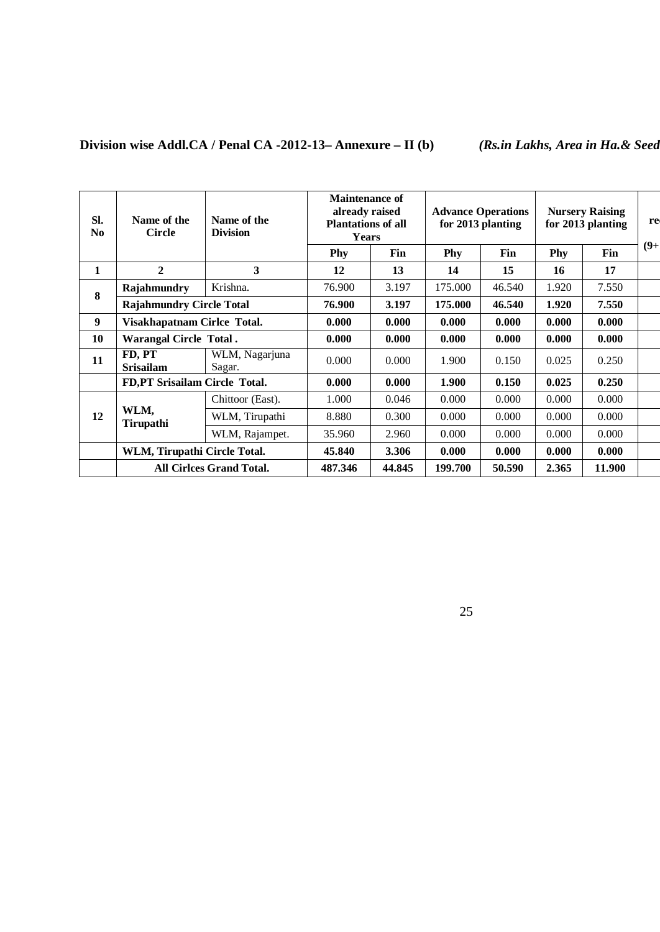## **Division wise Addl.CA / Penal CA -2012-13– Annexure – II (b)** *(Rs.in Lakhs, Area in Ha.& Seedlings in Lakhs)*

| SI.<br>N <sub>0</sub> | Name of the<br><b>Circle</b>    | Name of the<br><b>Division</b>  | <b>Maintenance of</b><br>already raised<br><b>Plantations of all</b><br><b>Years</b> |        |         | <b>Advance Operations</b><br>for 2013 planting |       | <b>Nursery Raising</b><br>for 2013 planting | re     |
|-----------------------|---------------------------------|---------------------------------|--------------------------------------------------------------------------------------|--------|---------|------------------------------------------------|-------|---------------------------------------------|--------|
|                       |                                 |                                 | Phy                                                                                  | Fin    | Phy     | Fin                                            | Phy   | Fin                                         | $(9+)$ |
| 1                     | $\mathbf{2}$                    | 3                               | 12                                                                                   | 13     | 14      | 15                                             | 16    | 17                                          |        |
| 8                     | Rajahmundry                     | Krishna.                        | 76.900                                                                               | 3.197  | 175.000 | 46.540                                         | 1.920 | 7.550                                       |        |
|                       | <b>Rajahmundry Circle Total</b> |                                 | 76.900                                                                               | 3.197  | 175.000 | 46.540                                         | 1.920 | 7.550                                       |        |
| 9                     | Visakhapatnam Cirlce Total.     |                                 | 0.000                                                                                | 0.000  | 0.000   | 0.000                                          | 0.000 | 0.000                                       |        |
| 10                    | <b>Warangal Circle Total.</b>   |                                 | 0.000                                                                                | 0.000  | 0.000   | 0.000                                          | 0.000 | 0.000                                       |        |
| 11                    | FD, PT<br><b>Srisailam</b>      | WLM, Nagarjuna<br>Sagar.        | 0.000                                                                                | 0.000  | 1.900   | 0.150                                          | 0.025 | 0.250                                       |        |
|                       | FD,PT Srisailam Circle Total.   |                                 | 0.000                                                                                | 0.000  | 1.900   | 0.150                                          | 0.025 | 0.250                                       |        |
|                       |                                 | Chittoor (East).                | 1.000                                                                                | 0.046  | 0.000   | 0.000                                          | 0.000 | 0.000                                       |        |
| 12                    | WLM,<br><b>Tirupathi</b>        | WLM, Tirupathi                  | 8.880                                                                                | 0.300  | 0.000   | 0.000                                          | 0.000 | 0.000                                       |        |
|                       |                                 | WLM, Rajampet.                  | 35.960                                                                               | 2.960  | 0.000   | 0.000                                          | 0.000 | 0.000                                       |        |
|                       | WLM, Tirupathi Circle Total.    |                                 | 45.840                                                                               | 3.306  | 0.000   | 0.000                                          | 0.000 | 0.000                                       |        |
|                       |                                 | <b>All Cirlces Grand Total.</b> | 487.346                                                                              | 44.845 | 199.700 | 50.590                                         | 2.365 | 11.900                                      |        |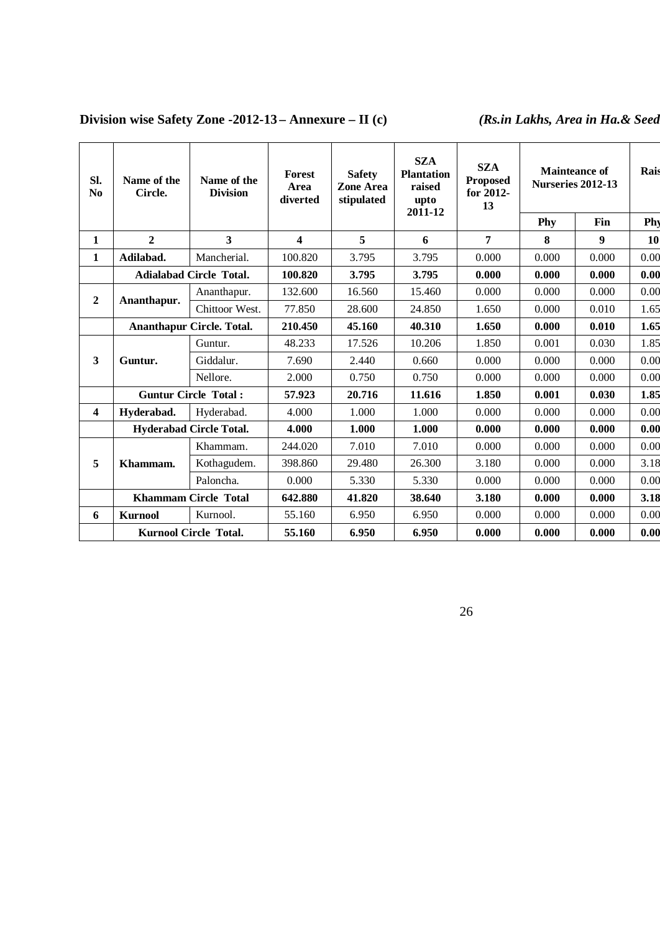## **Division wise Safety Zone -2012-13 – Annexure – II** (c) *(Rs.in Lakhs, Area in Ha.& Seed*

| SI.<br>N <sub>0</sub>   | Name of the<br>Circle. | Name of the<br><b>Division</b>   | <b>Forest</b><br>Area<br>diverted | <b>Safety</b><br><b>Zone Area</b><br>stipulated | <b>SZA</b><br><b>Plantation</b><br>raised<br>upto<br>2011-12 | <b>SZA</b><br><b>Proposed</b><br>for 2012-<br>13 | <b>Nurseries 2012-13</b> | <b>Mainteance of</b> | Rais      |
|-------------------------|------------------------|----------------------------------|-----------------------------------|-------------------------------------------------|--------------------------------------------------------------|--------------------------------------------------|--------------------------|----------------------|-----------|
|                         |                        |                                  |                                   |                                                 |                                                              |                                                  | Phy                      | Fin                  | Phy       |
| 1                       | $\overline{2}$         | $\overline{\mathbf{3}}$          | $\overline{\mathbf{4}}$           | 5                                               | 6                                                            | $\overline{7}$                                   | 8                        | 9                    | <b>10</b> |
| 1                       | Adilabad.              | Mancherial.                      | 100.820                           | 3.795                                           | 3.795                                                        | 0.000                                            | 0.000                    | 0.000                | 0.00      |
|                         |                        | <b>Adialabad Circle Total.</b>   | 100.820                           | 3.795                                           | 3.795                                                        | 0.000                                            | 0.000                    | 0.000                | 0.00      |
|                         |                        | Ananthapur.                      | 132.600                           | 16.560                                          | 15.460                                                       | 0.000                                            | 0.000                    | 0.000                | 0.00      |
| $\overline{2}$          | Ananthapur.            | Chittoor West.                   | 77.850                            | 28.600                                          | 24.850                                                       | 1.650                                            | 0.000                    | 0.010                | 1.65      |
|                         |                        | <b>Ananthapur Circle. Total.</b> | 210.450                           | 45.160                                          | 40.310                                                       | 1.650                                            | 0.000                    | 0.010                | 1.65      |
|                         |                        | Guntur.                          | 48.233                            | 17.526                                          | 10.206                                                       | 1.850                                            | 0.001                    | 0.030                | 1.85      |
| 3                       | Guntur.                | Giddalur.                        | 7.690                             | 2.440                                           | 0.660                                                        | 0.000                                            | 0.000                    | 0.000                | 0.00      |
|                         |                        | Nellore.                         | 2.000                             | 0.750                                           | 0.750                                                        | 0.000                                            | 0.000                    | 0.000                | 0.00      |
|                         |                        | <b>Guntur Circle Total:</b>      | 57.923                            | 20.716                                          | 11.616                                                       | 1.850                                            | 0.001                    | 0.030                | 1.85      |
| $\overline{\mathbf{4}}$ | Hyderabad.             | Hyderabad.                       | 4.000                             | 1.000                                           | 1.000                                                        | 0.000                                            | 0.000                    | 0.000                | 0.00      |
|                         |                        | <b>Hyderabad Circle Total.</b>   | 4.000                             | 1.000                                           | 1.000                                                        | 0.000                                            | 0.000                    | 0.000                | 0.00      |
|                         |                        | Khammam.                         | 244.020                           | 7.010                                           | 7.010                                                        | 0.000                                            | 0.000                    | 0.000                | 0.00      |
| 5                       | Khammam.               | Kothagudem.                      | 398.860                           | 29.480                                          | 26.300                                                       | 3.180                                            | 0.000                    | 0.000                | 3.18      |
|                         |                        | Paloncha.                        | 0.000                             | 5.330                                           | 5.330                                                        | 0.000                                            | 0.000                    | 0.000                | 0.00      |
|                         |                        | <b>Khammam Circle Total</b>      | 642.880                           | 41.820                                          | 38.640                                                       | 3.180                                            | 0.000                    | 0.000                | 3.18      |
| 6                       | <b>Kurnool</b>         | Kurnool.                         | 55.160                            | 6.950                                           | 6.950                                                        | 0.000                                            | 0.000                    | 0.000                | 0.00      |
|                         |                        | <b>Kurnool Circle Total.</b>     | 55.160                            | 6.950                                           | 6.950                                                        | 0.000                                            | 0.000                    | 0.000                | 0.00      |
|                         |                        |                                  |                                   |                                                 |                                                              |                                                  |                          |                      |           |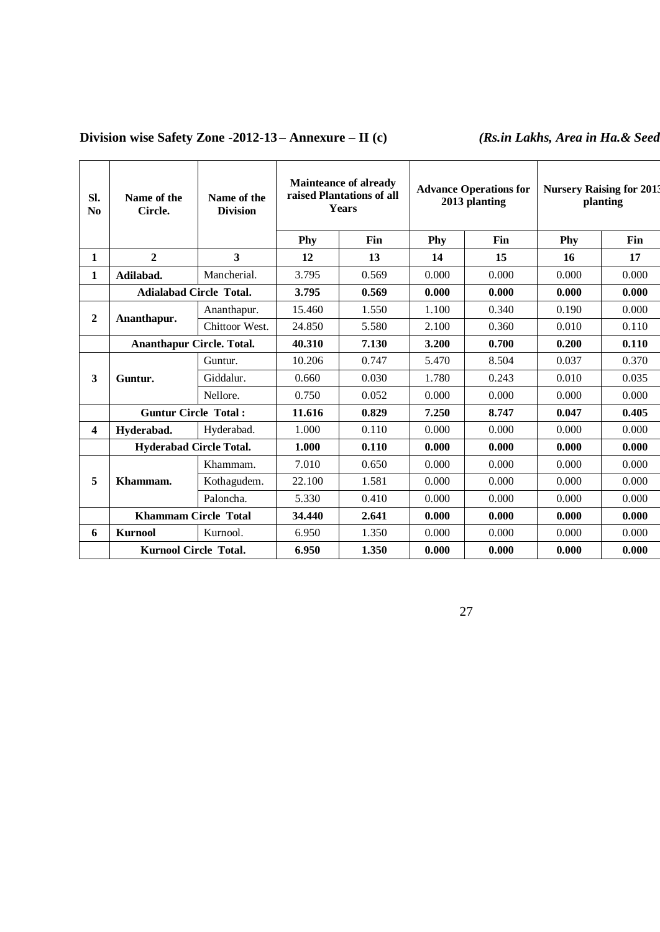## **Division wise Safety Zone -2012-13 – Annexure – II** (c) *(Rs.in Lakhs, Area in Ha.& Seed*

| SI.<br>$\bf No$ | Name of the<br>Circle.           | Name of the<br><b>Division</b> | <b>Mainteance of already</b><br>raised Plantations of all<br><b>Years</b> |       |       | <b>Advance Operations for</b><br>2013 planting | <b>Nursery Raising for 2013</b><br>planting |       |  |
|-----------------|----------------------------------|--------------------------------|---------------------------------------------------------------------------|-------|-------|------------------------------------------------|---------------------------------------------|-------|--|
|                 |                                  |                                | Phy                                                                       | Fin   | Phy   | Fin                                            | Phy                                         | Fin   |  |
| $\mathbf{1}$    | $\overline{2}$                   | $\overline{\mathbf{3}}$        | 12                                                                        | 13    | 14    | 15                                             | 16                                          | 17    |  |
| 1               | Adilabad.                        | Mancherial.                    | 3.795                                                                     | 0.569 | 0.000 | 0.000                                          | 0.000                                       | 0.000 |  |
|                 | <b>Adialabad Circle Total.</b>   |                                | 3.795                                                                     | 0.569 | 0.000 | 0.000                                          | 0.000                                       | 0.000 |  |
| $\mathbf{2}$    |                                  | Ananthapur.                    | 15.460                                                                    | 1.550 | 1.100 | 0.340                                          | 0.190                                       | 0.000 |  |
|                 | Ananthapur.                      | Chittoor West.                 | 24.850                                                                    | 5.580 | 2.100 | 0.360                                          | 0.010                                       | 0.110 |  |
|                 | <b>Ananthapur Circle. Total.</b> |                                | 40.310                                                                    | 7.130 | 3.200 | 0.700                                          | 0.200                                       | 0.110 |  |
|                 |                                  | Guntur.                        | 10.206                                                                    | 0.747 | 5.470 | 8.504                                          | 0.037                                       | 0.370 |  |
| $\mathbf{3}$    | Guntur.                          | Giddalur.                      | 0.660                                                                     | 0.030 | 1.780 | 0.243                                          | 0.010                                       | 0.035 |  |
|                 |                                  | Nellore.                       | 0.750                                                                     | 0.052 | 0.000 | 0.000                                          | 0.000                                       | 0.000 |  |
|                 | <b>Guntur Circle Total:</b>      |                                | 11.616                                                                    | 0.829 | 7.250 | 8.747                                          | 0.047                                       | 0.405 |  |
| 4               | Hyderabad.                       | Hyderabad.                     | 1.000                                                                     | 0.110 | 0.000 | 0.000                                          | 0.000                                       | 0.000 |  |
|                 | <b>Hyderabad Circle Total.</b>   |                                | 1.000                                                                     | 0.110 | 0.000 | 0.000                                          | 0.000                                       | 0.000 |  |
|                 |                                  | Khammam.                       | 7.010                                                                     | 0.650 | 0.000 | 0.000                                          | 0.000                                       | 0.000 |  |
| 5               | Khammam.                         | Kothagudem.                    | 22.100                                                                    | 1.581 | 0.000 | 0.000                                          | 0.000                                       | 0.000 |  |
|                 |                                  | Paloncha.                      | 5.330                                                                     | 0.410 | 0.000 | 0.000                                          | 0.000                                       | 0.000 |  |
|                 | <b>Khammam Circle Total</b>      |                                | 34.440                                                                    | 2.641 | 0.000 | 0.000                                          | 0.000                                       | 0.000 |  |
| 6               | <b>Kurnool</b>                   | Kurnool.                       | 6.950                                                                     | 1.350 | 0.000 | 0.000                                          | 0.000                                       | 0.000 |  |
|                 | <b>Kurnool Circle Total.</b>     |                                | 6.950                                                                     | 1.350 | 0.000 | 0.000                                          | 0.000                                       | 0.000 |  |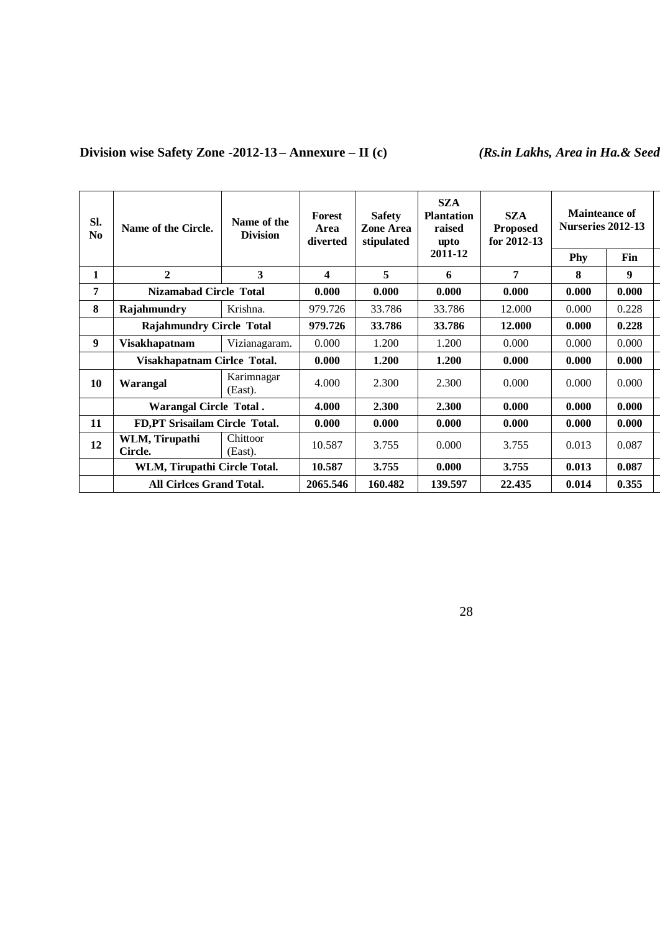## **Division wise Safety Zone -2012-13 – Annexure – II** (c) *(Rs.in Lakhs, Area in Ha.& Seed*

| Sl.<br>N <sub>0</sub> | Name of the Circle.             | Name of the<br><b>Division</b> | <b>Forest</b><br>Area<br>diverted | <b>Safety</b><br>Zone Area<br>stipulated | <b>SZA</b><br><b>Plantation</b><br>raised<br>upto | <b>SZA</b><br><b>Proposed</b><br>for $2012 - 13$ | Mainteance of<br>Nurseries 2012-13 |       |
|-----------------------|---------------------------------|--------------------------------|-----------------------------------|------------------------------------------|---------------------------------------------------|--------------------------------------------------|------------------------------------|-------|
|                       |                                 |                                |                                   |                                          | 2011-12                                           |                                                  | Phy                                | Fin   |
| 1                     | $\mathbf{2}$                    | 3                              | 4                                 | 5                                        | 6                                                 | 7                                                | 8                                  | 9     |
| 7                     | <b>Nizamabad Circle Total</b>   |                                | 0.000                             | 0.000                                    | 0.000                                             | 0.000                                            | 0.000                              | 0.000 |
| 8                     | Rajahmundry                     | Krishna.                       | 979.726                           | 33.786                                   | 33.786                                            | 12.000                                           | 0.000                              | 0.228 |
|                       | <b>Rajahmundry Circle Total</b> |                                | 979.726                           | 33.786                                   | 33.786                                            | 12.000                                           | 0.000                              | 0.228 |
| 9                     | Visakhapatnam                   | Vizianagaram.                  | 0.000                             | 1.200                                    | 1.200                                             | 0.000                                            | 0.000                              | 0.000 |
|                       | Visakhapatnam Cirlce Total.     |                                | 0.000                             | 1.200                                    | 1.200                                             | 0.000                                            | 0.000                              | 0.000 |
| 10                    | Warangal                        | Karimnagar<br>(East).          | 4.000                             | 2.300                                    | 2.300                                             | 0.000                                            | 0.000                              | 0.000 |
|                       | <b>Warangal Circle Total.</b>   |                                | 4.000                             | 2.300                                    | 2.300                                             | 0.000                                            | 0.000                              | 0.000 |
| 11                    | FD,PT Srisailam Circle Total.   |                                | 0.000                             | 0.000                                    | 0.000                                             | 0.000                                            | 0.000                              | 0.000 |
| 12                    | WLM, Tirupathi<br>Circle.       | Chittoor<br>(East).            | 10.587                            | 3.755                                    | 0.000                                             | 3.755                                            | 0.013                              | 0.087 |
|                       | WLM, Tirupathi Circle Total.    |                                | 10.587                            | 3.755                                    | 0.000                                             | 3.755                                            | 0.013                              | 0.087 |
|                       | <b>All Cirlces Grand Total.</b> |                                | 2065.546                          | 160.482                                  | 139.597                                           | 22.435                                           | 0.014                              | 0.355 |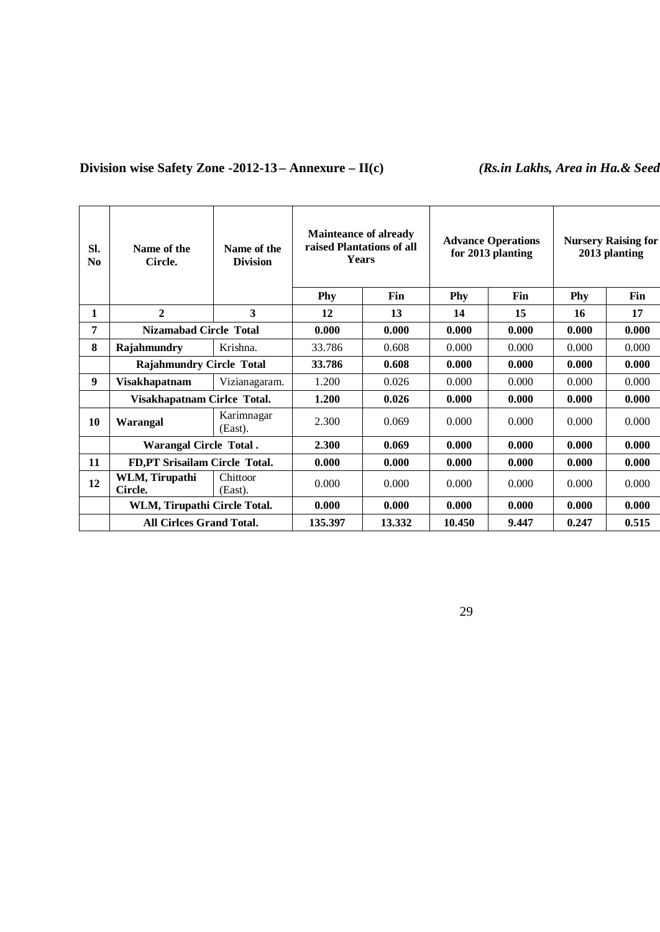## **Division wise Safety Zone -2012-13 – Annexure – II(c)** *(Rs.in Lakhs, Area in Ha.& Seed***)**

| Sl.<br>No | Name of the<br>Circle.          | Name of the<br><b>Division</b> | <b>Mainteance of already</b><br>raised Plantations of all<br><b>Years</b> |           |           | <b>Advance Operations</b><br>for 2013 planting |           | <b>Nursery Raising for</b><br>2013 planting |
|-----------|---------------------------------|--------------------------------|---------------------------------------------------------------------------|-----------|-----------|------------------------------------------------|-----------|---------------------------------------------|
| 1         | $\mathbf{2}$                    | 3                              | Phy<br>12                                                                 | Fin<br>13 | Phy<br>14 | Fin<br>15                                      | Phy<br>16 | Fin<br>17                                   |
| 7         | <b>Nizamabad Circle Total</b>   |                                | 0.000                                                                     | 0.000     | 0.000     | 0.000                                          | 0.000     | 0.000                                       |
| 8         | Rajahmundry                     | Krishna.                       | 33.786                                                                    | 0.608     | 0.000     | 0.000                                          | 0.000     | 0.000                                       |
|           | <b>Rajahmundry Circle Total</b> |                                | 33.786                                                                    | 0.608     | 0.000     | 0.000                                          | 0.000     | 0.000                                       |
| 9         | <b>Visakhapatnam</b>            | Vizianagaram.                  | 1.200                                                                     | 0.026     | 0.000     | 0.000                                          | 0.000     | 0.000                                       |
|           | Visakhapatnam Cirlce Total.     |                                | 1.200                                                                     | 0.026     | 0.000     | 0.000                                          | 0.000     | 0.000                                       |
| 10        | Warangal                        | Karimnagar<br>(East).          | 2.300                                                                     | 0.069     | 0.000     | 0.000                                          | 0.000     | 0.000                                       |
|           | <b>Warangal Circle Total.</b>   |                                | 2.300                                                                     | 0.069     | 0.000     | 0.000                                          | 0.000     | 0.000                                       |
| 11        | FD, PT Srisailam Circle Total.  |                                | 0.000                                                                     | 0.000     | 0.000     | 0.000                                          | 0.000     | 0.000                                       |
| 12        | WLM, Tirupathi<br>Circle.       | Chittoor<br>(East).            | 0.000                                                                     | 0.000     | 0.000     | 0.000                                          | 0.000     | 0.000                                       |
|           | WLM, Tirupathi Circle Total.    |                                | 0.000                                                                     | 0.000     | 0.000     | 0.000                                          | 0.000     | 0.000                                       |
|           | <b>All Cirlces Grand Total.</b> |                                | 135.397                                                                   | 13.332    | 10.450    | 9.447                                          | 0.247     | 0.515                                       |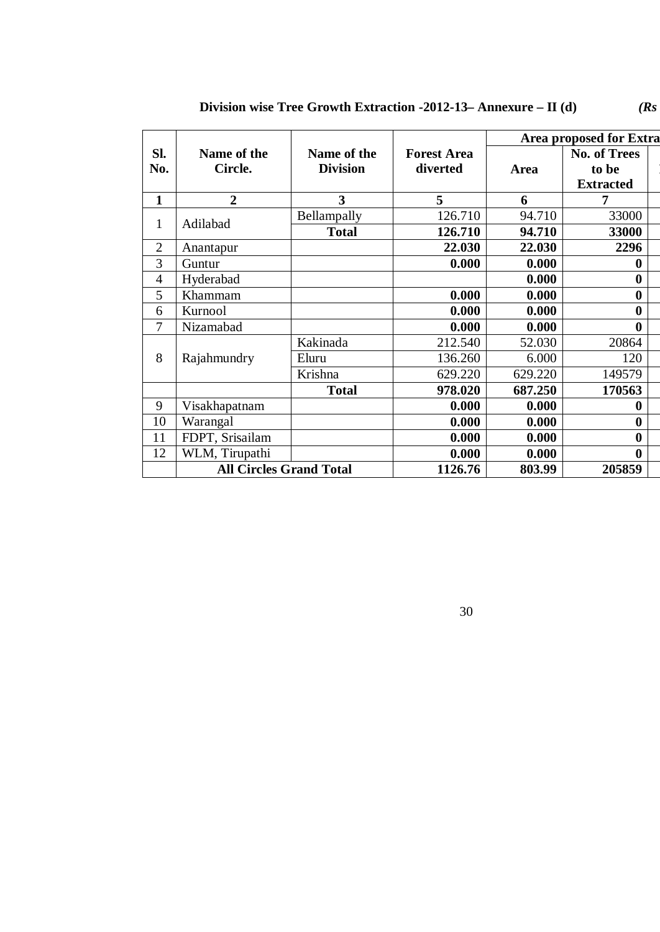|                |                                | <b>Area proposed for Extra</b> |                                |         |                              |  |
|----------------|--------------------------------|--------------------------------|--------------------------------|---------|------------------------------|--|
| Sl.<br>No.     | Name of the<br>Circle.         | Name of the<br><b>Division</b> | <b>Forest Area</b><br>diverted | Area    | <b>No. of Trees</b><br>to be |  |
|                |                                |                                |                                |         | <b>Extracted</b>             |  |
| 1              | $\overline{2}$                 | 3                              | 5                              | 6       | 7                            |  |
|                |                                | Bellampally                    | 126.710                        | 94.710  | 33000                        |  |
| $\mathbf{1}$   | Adilabad                       | <b>Total</b>                   | 126.710                        | 94.710  | 33000                        |  |
| $\overline{2}$ | Anantapur                      |                                | 22.030                         | 22.030  | 2296                         |  |
| 3              | Guntur                         |                                | 0.000                          | 0.000   | 0                            |  |
| $\overline{4}$ | Hyderabad                      |                                |                                | 0.000   | $\bf{0}$                     |  |
| 5              | Khammam                        |                                | 0.000                          | 0.000   | $\bf{0}$                     |  |
| 6              | Kurnool                        |                                | 0.000                          | 0.000   | $\bf{0}$                     |  |
| 7              | Nizamabad                      |                                | 0.000                          | 0.000   | $\bf{0}$                     |  |
|                |                                | Kakinada                       | 212.540                        | 52.030  | 20864                        |  |
| 8              | Rajahmundry                    | Eluru                          | 136.260                        | 6.000   | 120                          |  |
|                |                                | Krishna                        | 629.220                        | 629.220 | 149579                       |  |
|                |                                | <b>Total</b>                   | 978.020                        | 687.250 | 170563                       |  |
| 9              | Visakhapatnam                  |                                | 0.000                          | 0.000   | 0                            |  |
| 10             | Warangal                       |                                | 0.000                          | 0.000   | $\bf{0}$                     |  |
| 11             | FDPT, Srisailam                |                                | 0.000                          | 0.000   | $\bf{0}$                     |  |
| 12             | WLM, Tirupathi                 |                                | 0.000                          | 0.000   | $\bf{0}$                     |  |
|                | <b>All Circles Grand Total</b> |                                | 1126.76                        | 803.99  | 205859                       |  |

**Division wise Tree Growth Extraction -2012-13– Annexure – <b>II** (d) *(Rs*)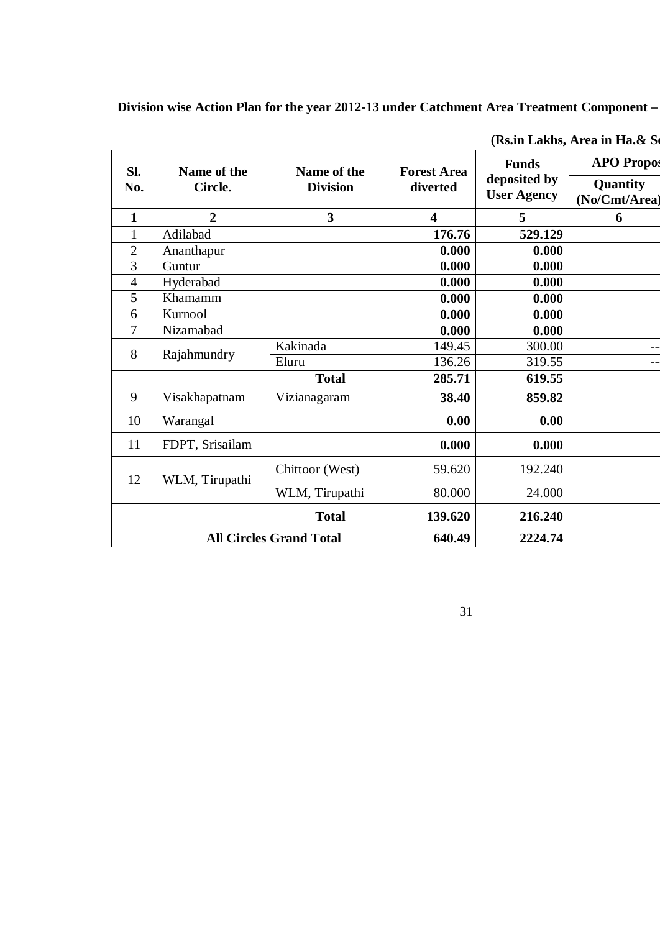## **Division wise Action Plan for the year 2012-13 under Catchment Area Treatment Component –**

| SI.            | Name of the     | Name of the                    | <b>Forest Area</b>      | <b>Funds</b>                       | <b>APO Propos</b>         |
|----------------|-----------------|--------------------------------|-------------------------|------------------------------------|---------------------------|
| No.            | Circle.         | <b>Division</b>                | diverted                | deposited by<br><b>User Agency</b> | Quantity<br>(No/Cmt/Area) |
| $\mathbf{1}$   | $\overline{2}$  | $\overline{3}$                 | $\overline{\mathbf{4}}$ | 5                                  | 6                         |
| $\mathbf{1}$   | Adilabad        |                                | 176.76                  | 529.129                            |                           |
| $\overline{2}$ | Ananthapur      |                                | 0.000                   | 0.000                              |                           |
| $\overline{3}$ | Guntur          |                                | 0.000                   | 0.000                              |                           |
| $\overline{4}$ | Hyderabad       |                                | 0.000                   | 0.000                              |                           |
| 5              | Khamamm         |                                | 0.000                   | 0.000                              |                           |
| 6              | Kurnool         |                                | 0.000                   | 0.000                              |                           |
| 7              | Nizamabad       |                                | 0.000                   | 0.000                              |                           |
| 8              | Rajahmundry     | Kakinada                       | 149.45                  | 300.00                             |                           |
|                |                 | Eluru                          | 136.26                  | 319.55                             |                           |
|                |                 | <b>Total</b>                   | 285.71                  | 619.55                             |                           |
| 9              | Visakhapatnam   | Vizianagaram                   | 38.40                   | 859.82                             |                           |
| 10             | Warangal        |                                | 0.00                    | 0.00                               |                           |
| 11             | FDPT, Srisailam |                                | 0.000                   | 0.000                              |                           |
| 12             | WLM, Tirupathi  | Chittoor (West)                | 59.620                  | 192.240                            |                           |
|                |                 | WLM, Tirupathi                 | 80.000                  | 24.000                             |                           |
|                |                 | <b>Total</b>                   | 139.620                 | 216.240                            |                           |
|                |                 | <b>All Circles Grand Total</b> | 640.49                  | 2224.74                            |                           |

(Rs.in Lakhs, Area in Ha.& So.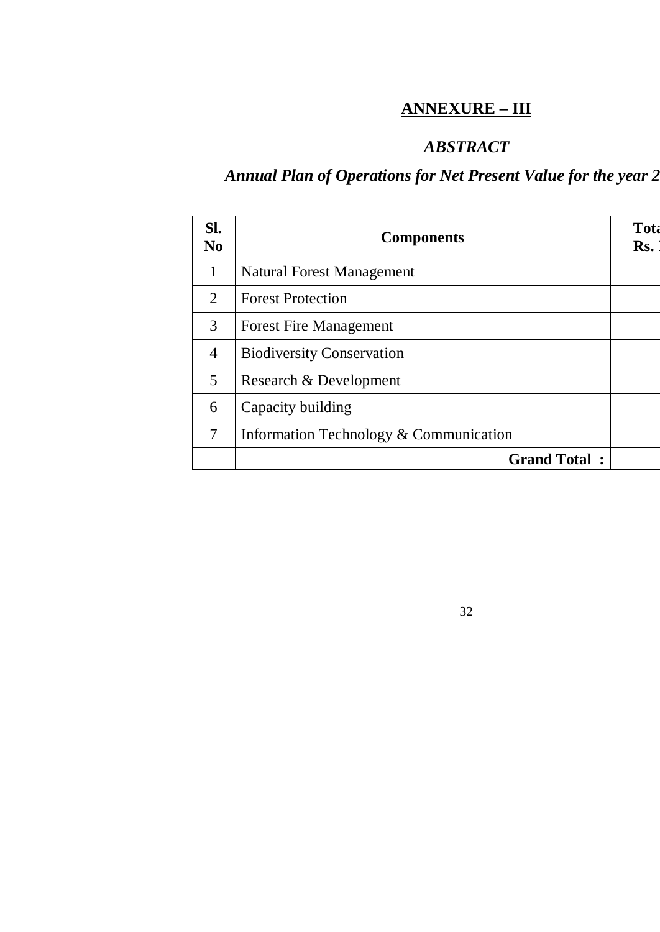# **ANNEXURE – III**

## *ABSTRACT*

32

# Annual Plan of Operations for Net Present Value for the year 2

| SI.<br>N <sub>0</sub>       | <b>Components</b>                      | Tota<br>Rs. |
|-----------------------------|----------------------------------------|-------------|
| $\mathbf{1}$                | Natural Forest Management              |             |
| $\mathcal{D}_{\mathcal{L}}$ | <b>Forest Protection</b>               |             |
| 3                           | <b>Forest Fire Management</b>          |             |
| $\overline{4}$              | <b>Biodiversity Conservation</b>       |             |
| 5                           | Research & Development                 |             |
| 6                           | Capacity building                      |             |
| 7                           | Information Technology & Communication |             |
|                             | <b>Grand Total:</b>                    |             |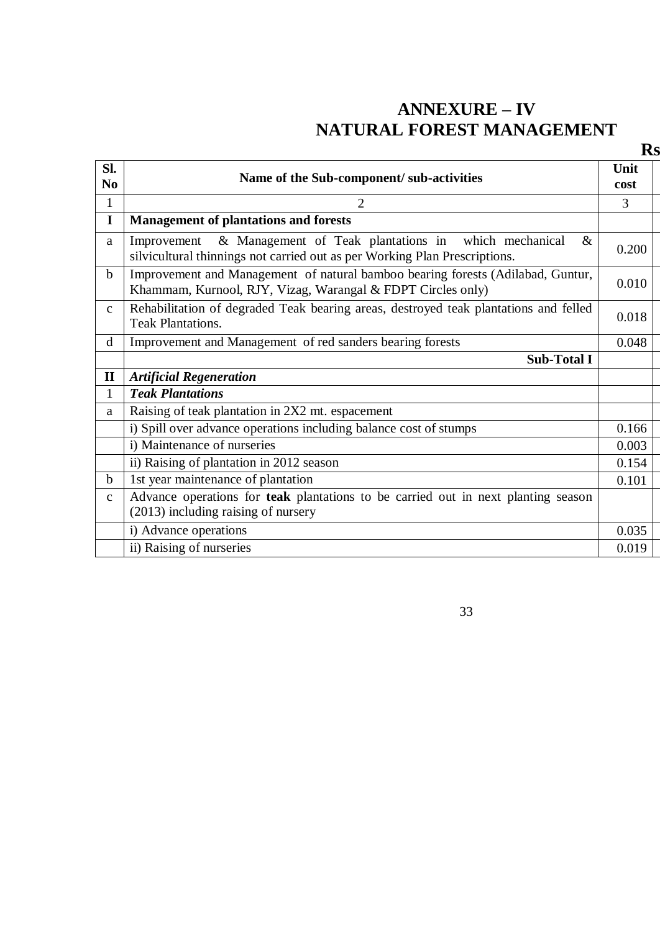# **ANNEXURE – IV NATURAL FOREST MANAGEMENT**

| Sl.<br>N <sub>0</sub> | Name of the Sub-component/ sub-activities                                                                                                                 | Unit<br>cost |
|-----------------------|-----------------------------------------------------------------------------------------------------------------------------------------------------------|--------------|
| $\mathbf{1}$          | $\overline{2}$                                                                                                                                            | 3            |
| $\mathbf I$           | <b>Management of plantations and forests</b>                                                                                                              |              |
| a                     | & Management of Teak plantations in which mechanical<br>$\&$<br>Improvement<br>silvicultural thinnings not carried out as per Working Plan Prescriptions. | 0.200        |
| $\mathbf b$           | Improvement and Management of natural bamboo bearing forests (Adilabad, Guntur,<br>Khammam, Kurnool, RJY, Vizag, Warangal & FDPT Circles only)            | 0.010        |
| $\mathbf{C}$          | Rehabilitation of degraded Teak bearing areas, destroyed teak plantations and felled<br><b>Teak Plantations.</b>                                          | 0.018        |
| d                     | Improvement and Management of red sanders bearing forests                                                                                                 | 0.048        |
|                       | <b>Sub-Total I</b>                                                                                                                                        |              |
| $\mathbf{I}$          | <b>Artificial Regeneration</b>                                                                                                                            |              |
| 1                     | <b>Teak Plantations</b>                                                                                                                                   |              |
| a                     | Raising of teak plantation in 2X2 mt. espacement                                                                                                          |              |
|                       | i) Spill over advance operations including balance cost of stumps                                                                                         | 0.166        |
|                       | i) Maintenance of nurseries                                                                                                                               | 0.003        |
|                       | ii) Raising of plantation in 2012 season                                                                                                                  | 0.154        |
| $\mathbf b$           | 1st year maintenance of plantation                                                                                                                        | 0.101        |
| $\mathbf{C}$          | Advance operations for teak plantations to be carried out in next planting season<br>(2013) including raising of nursery                                  |              |
|                       | i) Advance operations                                                                                                                                     | 0.035        |
|                       | ii) Raising of nurseries                                                                                                                                  | 0.019        |

33

**Rs. In lakhs**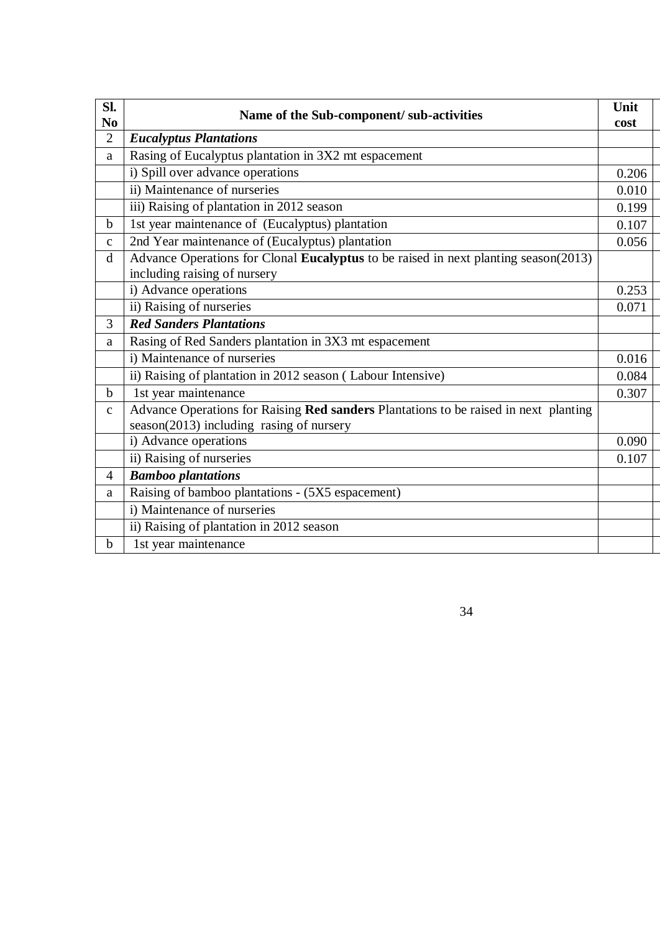| SI.<br>N <sub>0</sub> | Name of the Sub-component/ sub-activities                                                                                        | Unit<br>cost |  |
|-----------------------|----------------------------------------------------------------------------------------------------------------------------------|--------------|--|
| $\overline{2}$        | <b>Eucalyptus Plantations</b>                                                                                                    |              |  |
| a                     | Rasing of Eucalyptus plantation in 3X2 mt espacement                                                                             |              |  |
|                       | i) Spill over advance operations                                                                                                 | 0.206        |  |
|                       | ii) Maintenance of nurseries                                                                                                     | 0.010        |  |
|                       | iii) Raising of plantation in 2012 season                                                                                        | 0.199        |  |
| b                     | 1st year maintenance of (Eucalyptus) plantation                                                                                  | 0.107        |  |
| $\mathbf{c}$          | 2nd Year maintenance of (Eucalyptus) plantation                                                                                  | 0.056        |  |
| $\mathbf d$           | Advance Operations for Clonal Eucalyptus to be raised in next planting season(2013)<br>including raising of nursery              |              |  |
|                       | i) Advance operations                                                                                                            | 0.253        |  |
|                       | ii) Raising of nurseries                                                                                                         | 0.071        |  |
| 3                     | <b>Red Sanders Plantations</b>                                                                                                   |              |  |
| a                     | Rasing of Red Sanders plantation in 3X3 mt espacement                                                                            |              |  |
|                       | i) Maintenance of nurseries                                                                                                      | 0.016        |  |
|                       | ii) Raising of plantation in 2012 season (Labour Intensive)                                                                      | 0.084        |  |
| $\mathbf b$           | 1st year maintenance                                                                                                             | 0.307        |  |
| $\mathbf{C}$          | Advance Operations for Raising Red sanders Plantations to be raised in next planting<br>season(2013) including rasing of nursery |              |  |
|                       | i) Advance operations                                                                                                            | 0.090        |  |
|                       | ii) Raising of nurseries                                                                                                         | 0.107        |  |
| $\overline{4}$        | <b>Bamboo plantations</b>                                                                                                        |              |  |
| a                     | Raising of bamboo plantations - (5X5 espacement)                                                                                 |              |  |
|                       | i) Maintenance of nurseries                                                                                                      |              |  |
|                       | ii) Raising of plantation in 2012 season                                                                                         |              |  |
| $\mathbf b$           | 1st year maintenance                                                                                                             |              |  |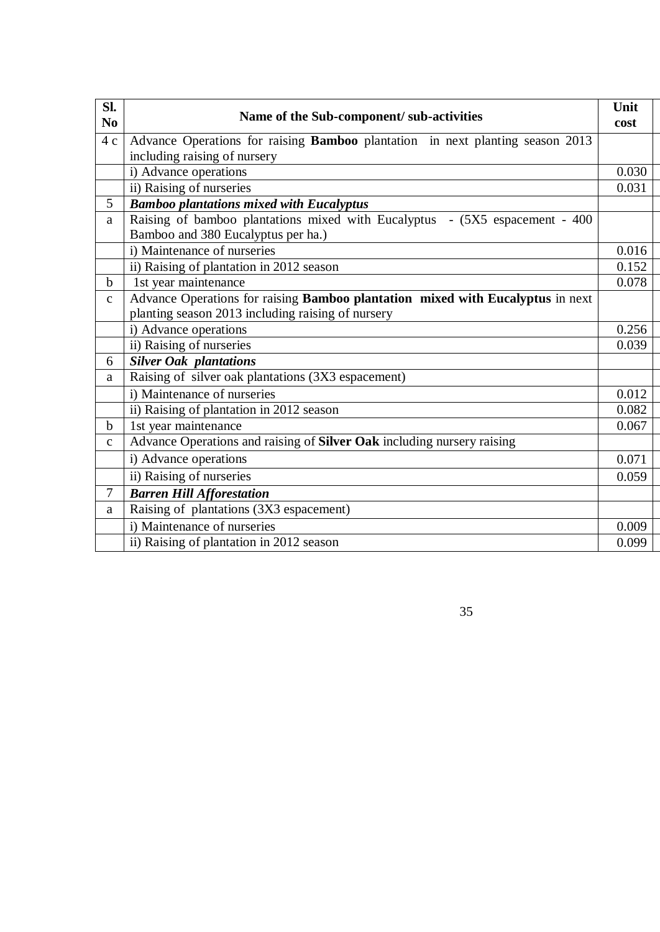| Sl.<br>N <sub>0</sub> | Name of the Sub-component/ sub-activities                                                                                           | Unit<br>cost |
|-----------------------|-------------------------------------------------------------------------------------------------------------------------------------|--------------|
| 4c                    | Advance Operations for raising Bamboo plantation in next planting season 2013                                                       |              |
|                       | including raising of nursery                                                                                                        |              |
|                       | i) Advance operations                                                                                                               | 0.030        |
|                       | ii) Raising of nurseries                                                                                                            | 0.031        |
| 5                     | <b>Bamboo plantations mixed with Eucalyptus</b>                                                                                     |              |
| a                     | Raising of bamboo plantations mixed with Eucalyptus - (5X5 espacement - 400<br>Bamboo and 380 Eucalyptus per ha.)                   |              |
|                       | i) Maintenance of nurseries                                                                                                         | 0.016        |
|                       | ii) Raising of plantation in 2012 season                                                                                            | 0.152        |
| $\mathbf b$           | 1st year maintenance                                                                                                                | 0.078        |
| $\mathbf{C}$          | Advance Operations for raising Bamboo plantation mixed with Eucalyptus in next<br>planting season 2013 including raising of nursery |              |
|                       | i) Advance operations                                                                                                               | 0.256        |
|                       | ii) Raising of nurseries                                                                                                            | 0.039        |
| 6                     | <b>Silver Oak plantations</b>                                                                                                       |              |
| a                     | Raising of silver oak plantations (3X3 espacement)                                                                                  |              |
|                       | i) Maintenance of nurseries                                                                                                         | 0.012        |
|                       | ii) Raising of plantation in 2012 season                                                                                            | 0.082        |
| $\mathbf b$           | 1st year maintenance                                                                                                                | 0.067        |
| $\mathbf{C}$          | Advance Operations and raising of Silver Oak including nursery raising                                                              |              |
|                       | i) Advance operations                                                                                                               | 0.071        |
|                       | ii) Raising of nurseries                                                                                                            | 0.059        |
| 7                     | <b>Barren Hill Afforestation</b>                                                                                                    |              |
| a                     | Raising of plantations (3X3 espacement)                                                                                             |              |
|                       | i) Maintenance of nurseries                                                                                                         | 0.009        |
|                       | ii) Raising of plantation in 2012 season                                                                                            | 0.099        |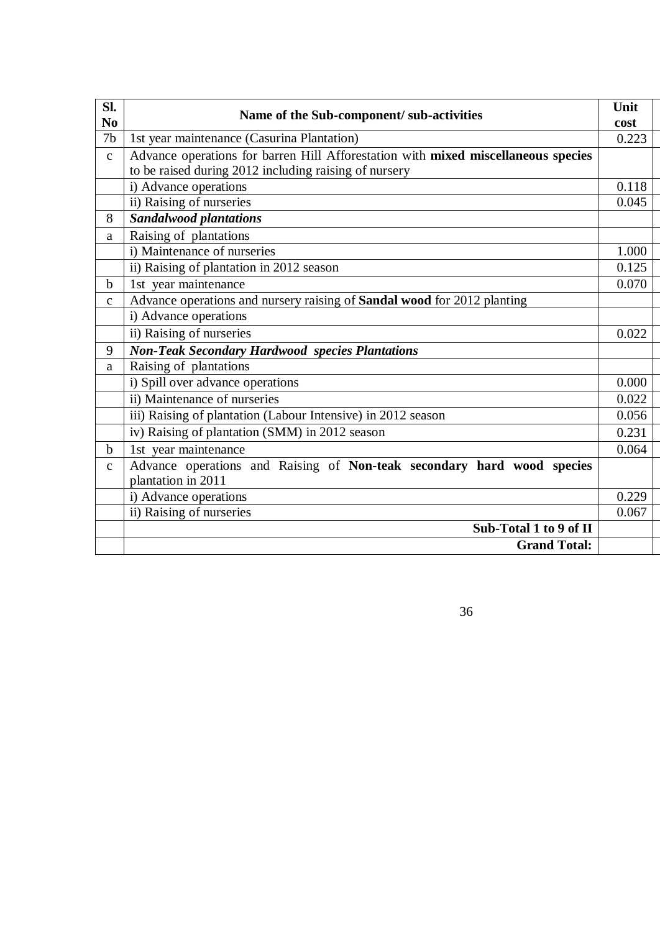| SI.            | Name of the Sub-component/ sub-activities                                                                                                  | Unit  |
|----------------|--------------------------------------------------------------------------------------------------------------------------------------------|-------|
| N <sub>0</sub> |                                                                                                                                            | cost  |
| 7 <sub>b</sub> | 1st year maintenance (Casurina Plantation)                                                                                                 | 0.223 |
| $\mathbf{C}$   | Advance operations for barren Hill Afforestation with mixed miscellaneous species<br>to be raised during 2012 including raising of nursery |       |
|                | i) Advance operations                                                                                                                      | 0.118 |
|                | ii) Raising of nurseries                                                                                                                   | 0.045 |
| 8              | <b>Sandalwood plantations</b>                                                                                                              |       |
| a              | Raising of plantations                                                                                                                     |       |
|                | i) Maintenance of nurseries                                                                                                                | 1.000 |
|                | ii) Raising of plantation in 2012 season                                                                                                   | 0.125 |
| $\mathbf b$    | 1st year maintenance                                                                                                                       | 0.070 |
| $\mathbf{C}$   | Advance operations and nursery raising of Sandal wood for 2012 planting                                                                    |       |
|                | i) Advance operations                                                                                                                      |       |
|                | ii) Raising of nurseries                                                                                                                   | 0.022 |
| 9              | <b>Non-Teak Secondary Hardwood species Plantations</b>                                                                                     |       |
| a              | Raising of plantations                                                                                                                     |       |
|                | i) Spill over advance operations                                                                                                           | 0.000 |
|                | ii) Maintenance of nurseries                                                                                                               | 0.022 |
|                | iii) Raising of plantation (Labour Intensive) in 2012 season                                                                               | 0.056 |
|                | iv) Raising of plantation (SMM) in 2012 season                                                                                             | 0.231 |
| $\mathbf b$    | 1st year maintenance                                                                                                                       | 0.064 |
| $\mathbf{C}$   | Advance operations and Raising of Non-teak secondary hard wood species                                                                     |       |
|                | plantation in 2011                                                                                                                         |       |
|                | i) Advance operations                                                                                                                      | 0.229 |
|                | ii) Raising of nurseries                                                                                                                   | 0.067 |
|                | Sub-Total 1 to 9 of II                                                                                                                     |       |
|                | <b>Grand Total:</b>                                                                                                                        |       |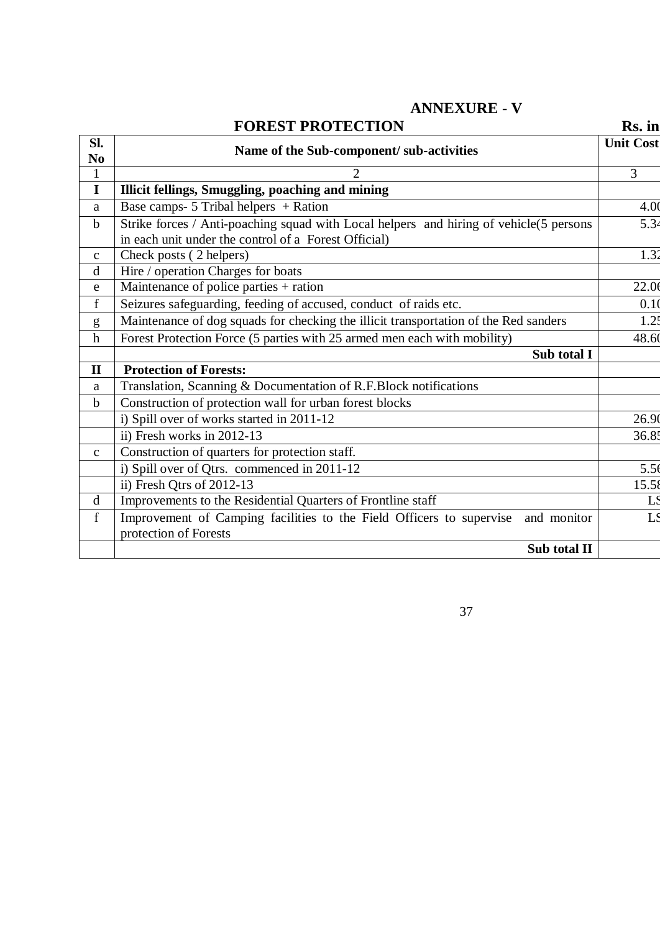|                                                                                                                                                | Rs. in                                                                                       |
|------------------------------------------------------------------------------------------------------------------------------------------------|----------------------------------------------------------------------------------------------|
| Name of the Sub-component/ sub-activities                                                                                                      | <b>Unit Cost</b>                                                                             |
| $\overline{2}$                                                                                                                                 | $\overline{3}$                                                                               |
| Illicit fellings, Smuggling, poaching and mining                                                                                               |                                                                                              |
| Base camps- 5 Tribal helpers + Ration                                                                                                          | 4.00                                                                                         |
| Strike forces / Anti-poaching squad with Local helpers and hiring of vehicle(5 persons<br>in each unit under the control of a Forest Official) | 5.34                                                                                         |
| Check posts (2 helpers)                                                                                                                        | 1.32                                                                                         |
| Hire / operation Charges for boats                                                                                                             |                                                                                              |
| Maintenance of police parties + ration                                                                                                         | 22.06                                                                                        |
| Seizures safeguarding, feeding of accused, conduct of raids etc.                                                                               | 0.10                                                                                         |
| Maintenance of dog squads for checking the illicit transportation of the Red sanders                                                           | 1.25                                                                                         |
| Forest Protection Force (5 parties with 25 armed men each with mobility)                                                                       | 48.60                                                                                        |
| Sub total I                                                                                                                                    |                                                                                              |
| <b>Protection of Forests:</b>                                                                                                                  |                                                                                              |
|                                                                                                                                                |                                                                                              |
| Construction of protection wall for urban forest blocks                                                                                        |                                                                                              |
| i) Spill over of works started in 2011-12                                                                                                      | 26.90                                                                                        |
| ii) Fresh works in $2012-13$                                                                                                                   | 36.85                                                                                        |
| Construction of quarters for protection staff.                                                                                                 |                                                                                              |
| i) Spill over of Qtrs. commenced in 2011-12                                                                                                    | 5.56                                                                                         |
| ii) Fresh Qtrs of 2012-13                                                                                                                      | 15.58                                                                                        |
| Improvements to the Residential Quarters of Frontline staff                                                                                    |                                                                                              |
| Improvement of Camping facilities to the Field Officers to supervise<br>and monitor<br>protection of Forests                                   |                                                                                              |
| Sub total II                                                                                                                                   |                                                                                              |
|                                                                                                                                                | <b>FOREST PROTECTION</b><br>Translation, Scanning & Documentation of R.F.Block notifications |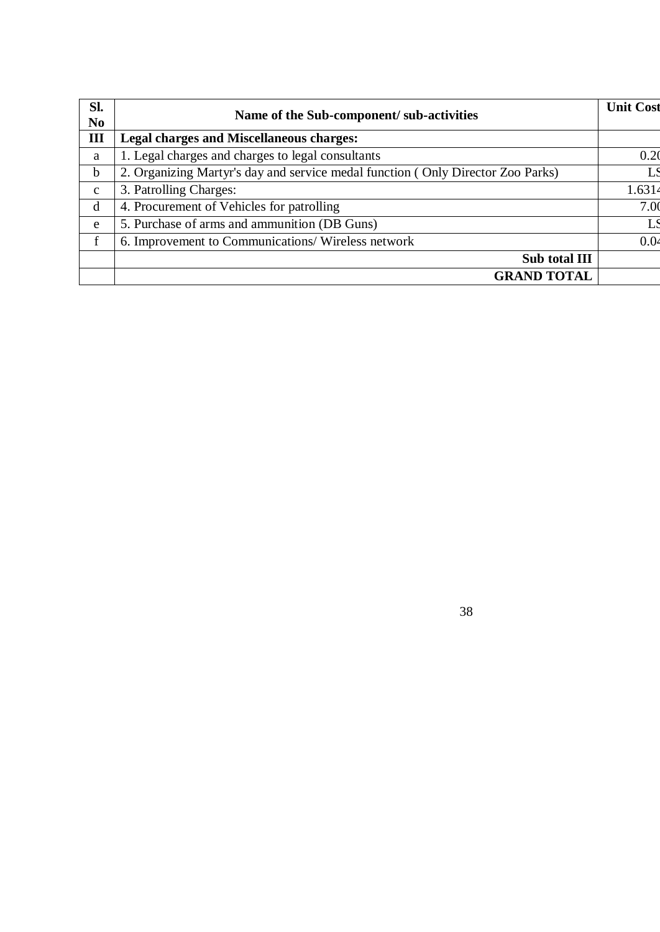| Sl.<br>N <sub>0</sub> | Name of the Sub-component/ sub-activities                                       | <b>Unit Cost</b> |
|-----------------------|---------------------------------------------------------------------------------|------------------|
| III                   | <b>Legal charges and Miscellaneous charges:</b>                                 |                  |
| a                     | 1. Legal charges and charges to legal consultants                               | 0.20             |
| $\mathbf b$           | 2. Organizing Martyr's day and service medal function (Only Director Zoo Parks) | LS               |
| $\mathbf{c}$          | 3. Patrolling Charges:                                                          | 1.6314           |
| d                     | 4. Procurement of Vehicles for patrolling                                       | 7.0 <sub>0</sub> |
| e                     | 5. Purchase of arms and ammunition (DB Guns)                                    | LS               |
| $\mathbf{f}$          | 6. Improvement to Communications/Wireless network                               | 0.04             |
|                       | Sub total III                                                                   |                  |
|                       | <b>GRAND TOTAL</b>                                                              |                  |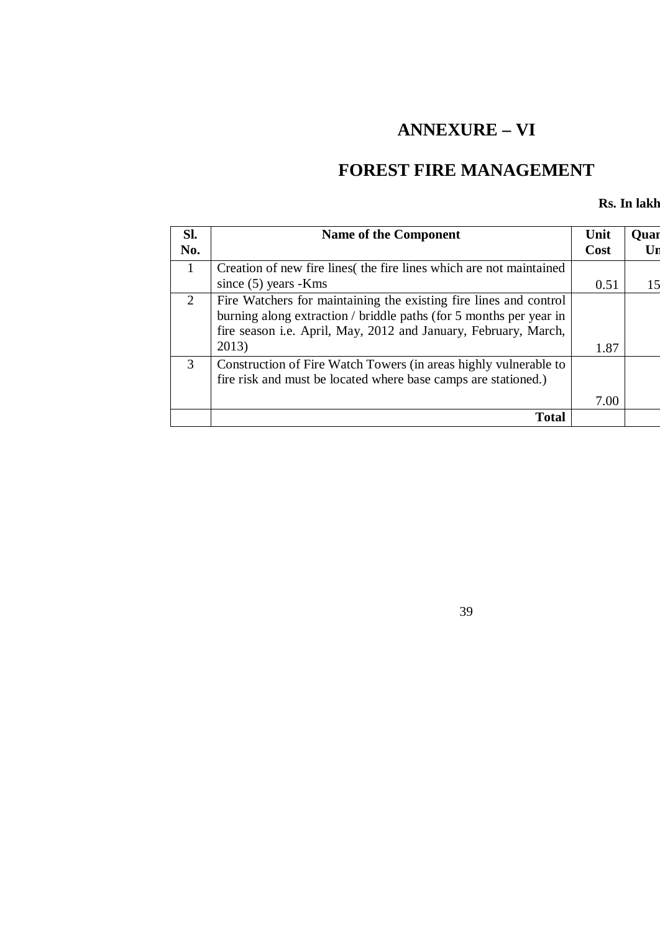# **ANNEXURE – VI**

# **FOREST FIRE MANAGEMENT**

#### **Rs. In lakh**

| Sl.          | <b>Name of the Component</b>                                       | Unit | <b>Quar</b> |
|--------------|--------------------------------------------------------------------|------|-------------|
| No.          |                                                                    | Cost |             |
| $\mathbf{1}$ | Creation of new fire lines the fire lines which are not maintained |      |             |
|              | since $(5)$ years -Kms                                             | 0.51 |             |
| 2            | Fire Watchers for maintaining the existing fire lines and control  |      |             |
|              | burning along extraction / briddle paths (for 5 months per year in |      |             |
|              | fire season i.e. April, May, 2012 and January, February, March,    |      |             |
|              | 2013)                                                              | 1.87 |             |
| 3            | Construction of Fire Watch Towers (in areas highly vulnerable to   |      |             |
|              | fire risk and must be located where base camps are stationed.)     |      |             |
|              |                                                                    | 7.00 |             |
|              | <b>Total</b>                                                       |      |             |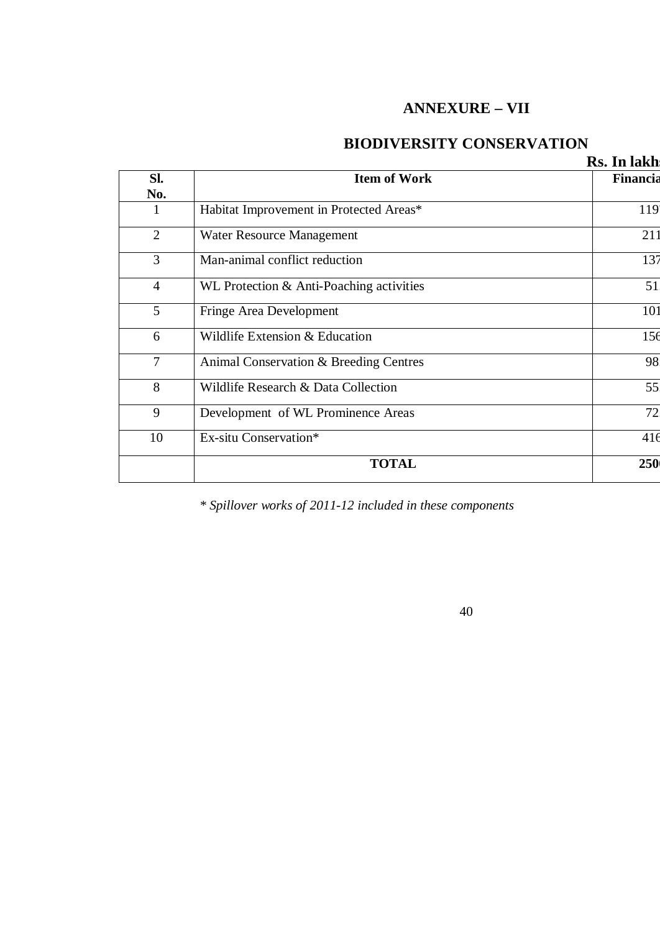## **ANNEXURE – VII**

## **BIODIVERSITY CONSERVATION**

|                |                                          | Rs. In lakh |
|----------------|------------------------------------------|-------------|
| SI.            | <b>Item of Work</b>                      | Financia    |
| No.            |                                          |             |
| 1              | Habitat Improvement in Protected Areas*  | 119         |
| $\overline{2}$ | Water Resource Management                | 211         |
| 3              | Man-animal conflict reduction            | 137         |
| $\overline{4}$ | WL Protection & Anti-Poaching activities | 51          |
| 5              | Fringe Area Development                  | 101         |
| 6              | Wildlife Extension & Education           | 156         |
| $\overline{7}$ | Animal Conservation & Breeding Centres   | 98          |
| 8              | Wildlife Research & Data Collection      | 55          |
| 9              | Development of WL Prominence Areas       | 72          |
| 10             | Ex-situ Conservation*                    | 416         |
|                | <b>TOTAL</b>                             | 250         |
|                |                                          |             |

*\* Spillover works of 2011-12 included in these components*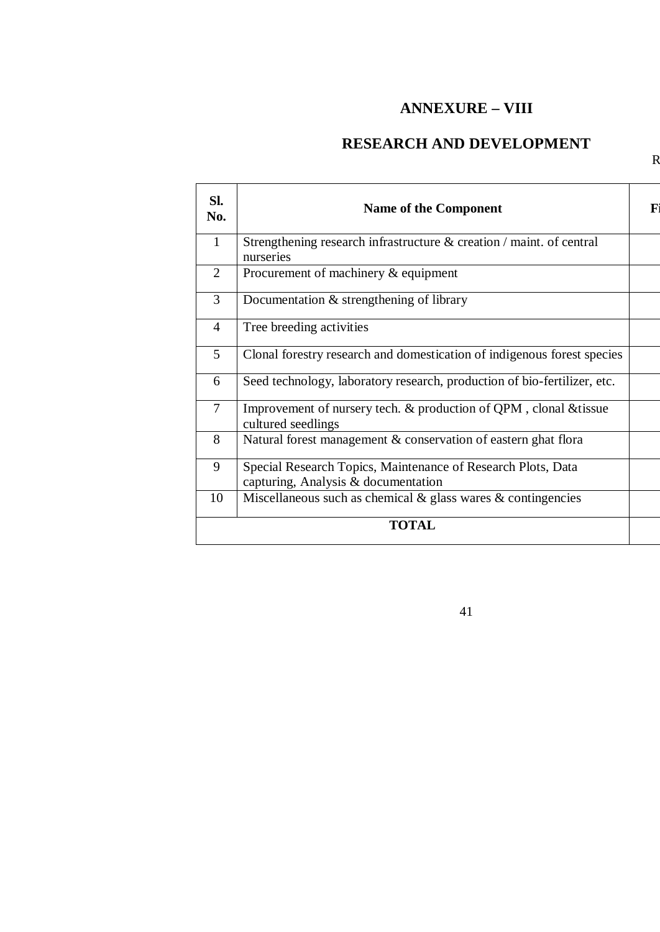## **ANNEXURE – VIII**

## **RESEARCH AND DEVELOPMENT**

 $\mathsf R$ 

| Sl.<br>No.     | <b>Name of the Component</b>                                                                        | F |
|----------------|-----------------------------------------------------------------------------------------------------|---|
| $\mathbf{1}$   | Strengthening research infrastructure $\&$ creation / maint. of central<br>nurseries                |   |
| 2              | Procurement of machinery & equipment                                                                |   |
| 3              | Documentation $&$ strengthening of library                                                          |   |
| $\overline{4}$ | Tree breeding activities                                                                            |   |
| 5              | Clonal forestry research and domestication of indigenous forest species                             |   |
| 6              | Seed technology, laboratory research, production of bio-fertilizer, etc.                            |   |
| $\overline{7}$ | Improvement of nursery tech. & production of QPM, clonal & tissue<br>cultured seedlings             |   |
| 8              | Natural forest management & conservation of eastern ghat flora                                      |   |
| 9              | Special Research Topics, Maintenance of Research Plots, Data<br>capturing, Analysis & documentation |   |
| 10             | Miscellaneous such as chemical $\&$ glass wares $\&$ contingencies                                  |   |
|                | <b>TOTAL</b>                                                                                        |   |
|                |                                                                                                     |   |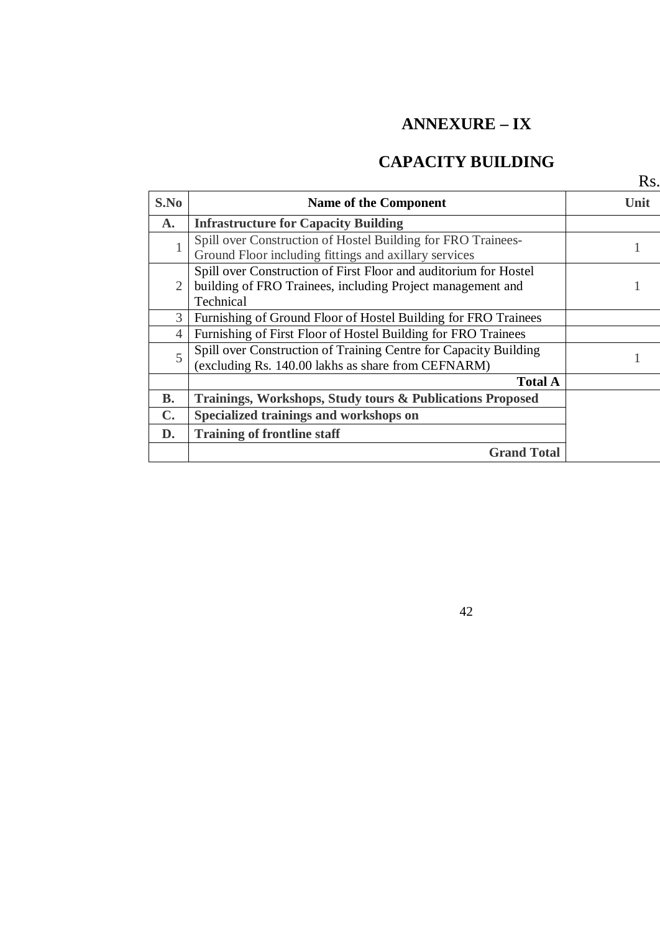# **ANNEXURE – IX**

## **CAPACITY BUILDING**

|                |                                                                                                                                             | $\rm{Rs}$ |
|----------------|---------------------------------------------------------------------------------------------------------------------------------------------|-----------|
| S.No           | <b>Name of the Component</b>                                                                                                                | Unit      |
| $\mathbf{A}$ . | <b>Infrastructure for Capacity Building</b>                                                                                                 |           |
|                | Spill over Construction of Hostel Building for FRO Trainees-<br>Ground Floor including fittings and axillary services                       |           |
| 2              | Spill over Construction of First Floor and auditorium for Hostel<br>building of FRO Trainees, including Project management and<br>Technical |           |
| 3              | Furnishing of Ground Floor of Hostel Building for FRO Trainees                                                                              |           |
| 4              | Furnishing of First Floor of Hostel Building for FRO Trainees                                                                               |           |
| 5              | Spill over Construction of Training Centre for Capacity Building<br>(excluding Rs. 140.00 lakhs as share from CEFNARM)                      |           |
|                | <b>Total A</b>                                                                                                                              |           |
| <b>B.</b>      | Trainings, Workshops, Study tours & Publications Proposed                                                                                   |           |
| $\mathbf{C}$ . | Specialized trainings and workshops on                                                                                                      |           |
| D.             | <b>Training of frontline staff</b>                                                                                                          |           |
|                | <b>Grand Total</b>                                                                                                                          |           |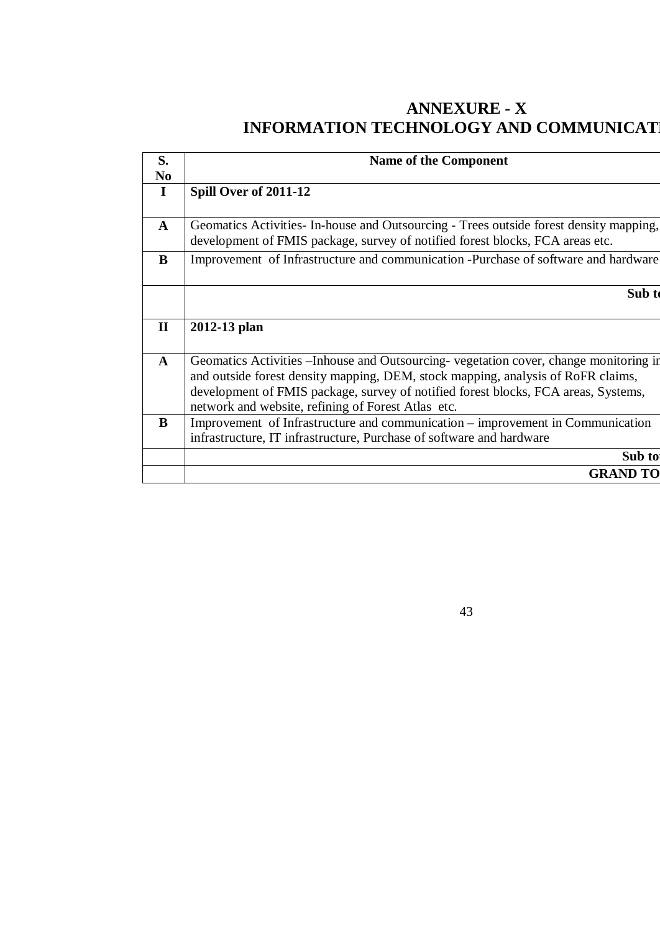## **ANNEXURE - X INFORMATION TECHNOLOGY AND COMMUNICAT**

| S.                  | <b>Name of the Component</b>                                                                                                                                              |  |
|---------------------|---------------------------------------------------------------------------------------------------------------------------------------------------------------------------|--|
| N <sub>0</sub><br>I | Spill Over of 2011-12                                                                                                                                                     |  |
|                     |                                                                                                                                                                           |  |
| $\mathbf{A}$        | Geomatics Activities In-house and Outsourcing - Trees outside forest density mapping,<br>development of FMIS package, survey of notified forest blocks, FCA areas etc.    |  |
| B                   | Improvement of Infrastructure and communication -Purchase of software and hardware                                                                                        |  |
|                     |                                                                                                                                                                           |  |
|                     | Sub 1                                                                                                                                                                     |  |
|                     |                                                                                                                                                                           |  |
| $\mathbf{I}$        | 2012-13 plan                                                                                                                                                              |  |
|                     |                                                                                                                                                                           |  |
| $\mathbf{A}$        | Geomatics Activities – Inhouse and Outsourcing-vegetation cover, change monitoring in<br>and outside forest density mapping, DEM, stock mapping, analysis of RoFR claims, |  |
|                     | development of FMIS package, survey of notified forest blocks, FCA areas, Systems,                                                                                        |  |
|                     | network and website, refining of Forest Atlas etc.                                                                                                                        |  |
| B                   | Improvement of Infrastructure and communication – improvement in Communication                                                                                            |  |
|                     | infrastructure, IT infrastructure, Purchase of software and hardware                                                                                                      |  |
|                     | Sub to                                                                                                                                                                    |  |
|                     | <b>GRAND TO</b>                                                                                                                                                           |  |
|                     |                                                                                                                                                                           |  |